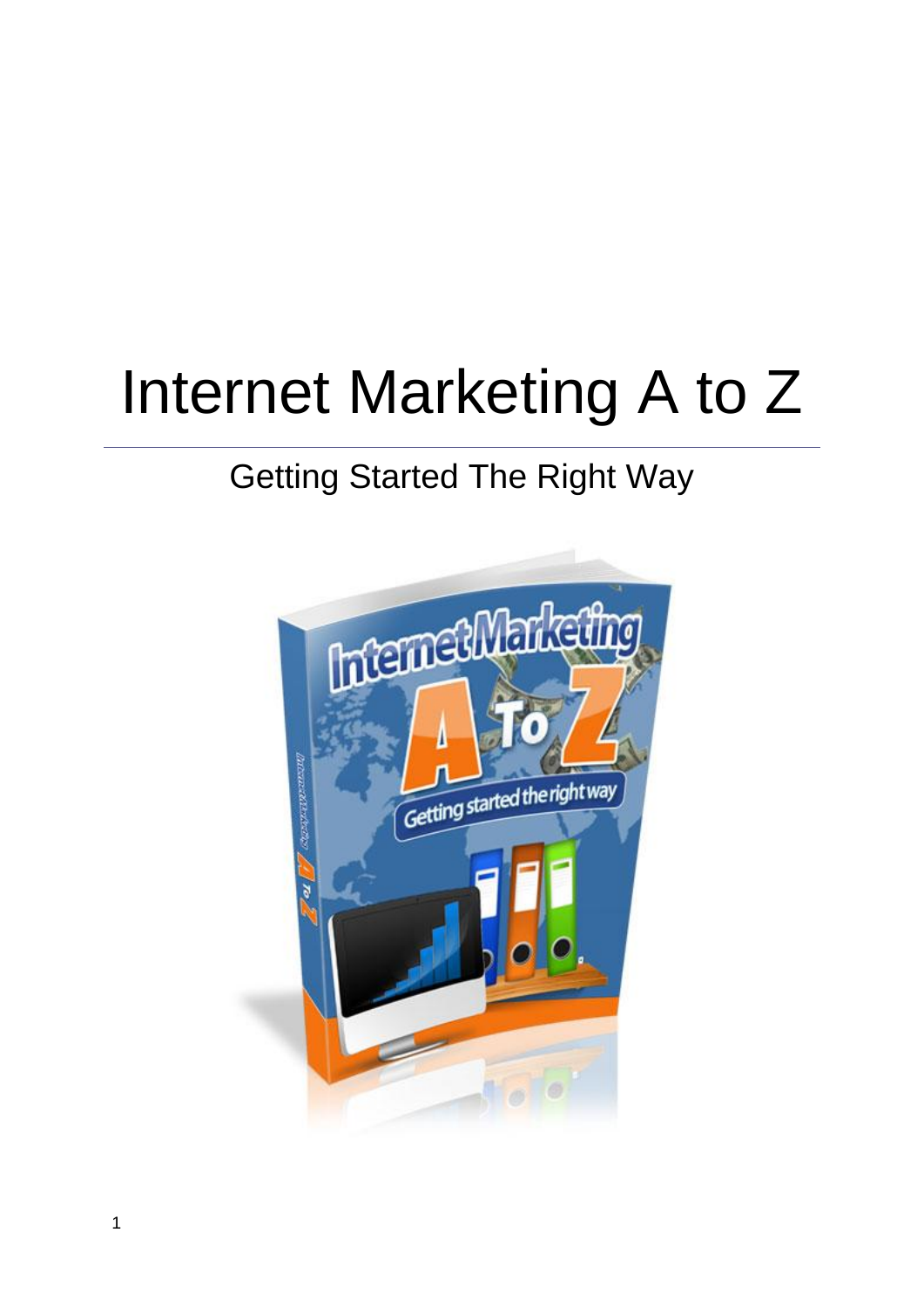# Internet Marketing A to Z

# Getting Started The Right Way

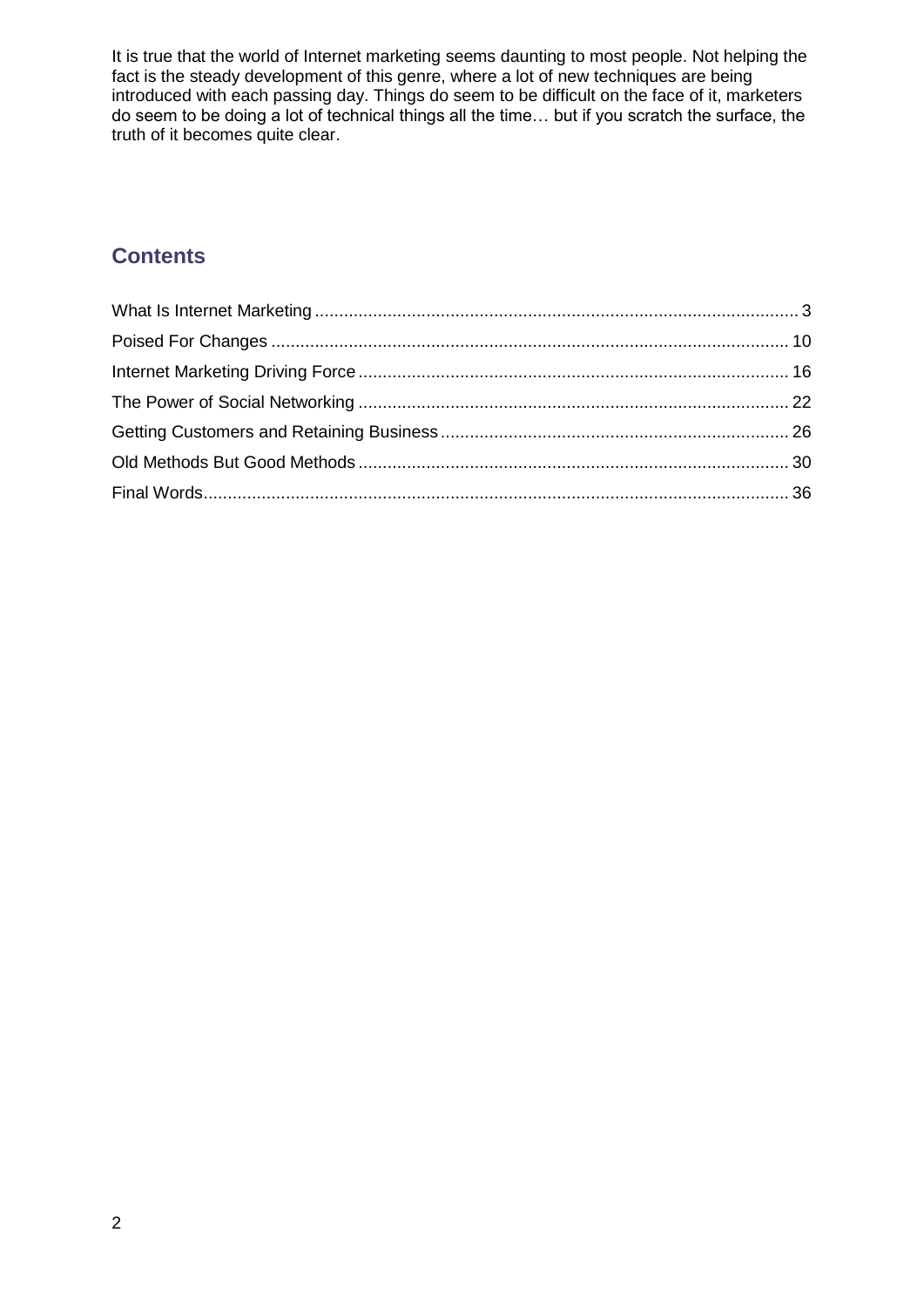It is true that the world of Internet marketing seems daunting to most people. Not helping the fact is the steady development of this genre, where a lot of new techniques are being introduced with each passing day. Things do seem to be difficult on the face of it, marketers do seem to be doing a lot of technical things all the time… but if you scratch the surface, the truth of it becomes quite clear.

# **Contents**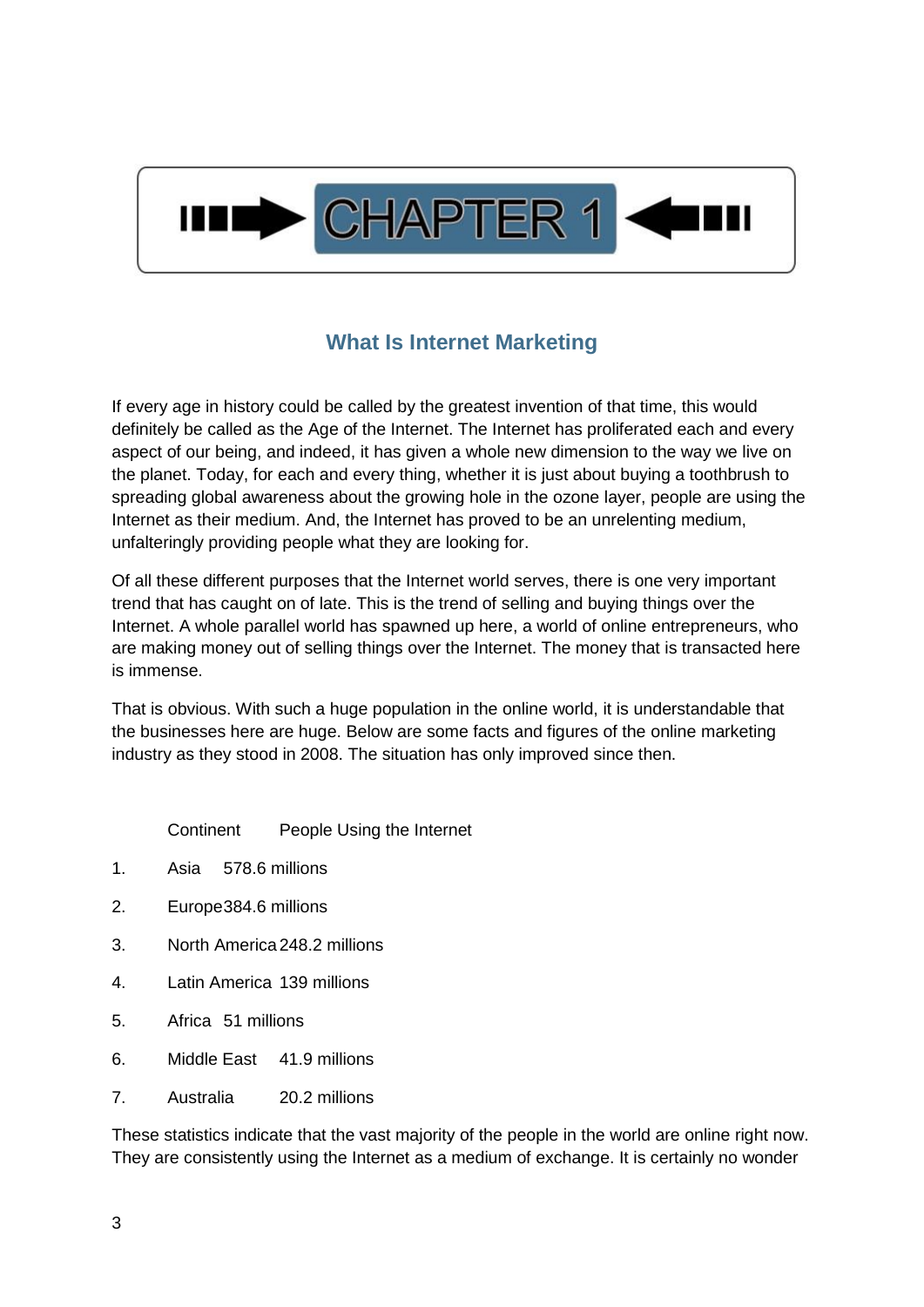

## **What Is Internet Marketing**

<span id="page-2-0"></span>If every age in history could be called by the greatest invention of that time, this would definitely be called as the Age of the Internet. The Internet has proliferated each and every aspect of our being, and indeed, it has given a whole new dimension to the way we live on the planet. Today, for each and every thing, whether it is just about buying a toothbrush to spreading global awareness about the growing hole in the ozone layer, people are using the Internet as their medium. And, the Internet has proved to be an unrelenting medium, unfalteringly providing people what they are looking for.

Of all these different purposes that the Internet world serves, there is one very important trend that has caught on of late. This is the trend of selling and buying things over the Internet. A whole parallel world has spawned up here, a world of online entrepreneurs, who are making money out of selling things over the Internet. The money that is transacted here is immense.

That is obvious. With such a huge population in the online world, it is understandable that the businesses here are huge. Below are some facts and figures of the online marketing industry as they stood in 2008. The situation has only improved since then.

Continent People Using the Internet

- 1. Asia 578.6 millions
- 2. Europe384.6 millions
- 3. North America 248.2 millions
- 4. Latin America 139 millions
- 5. Africa 51 millions
- 6. Middle East 41.9 millions
- 7. Australia 20.2 millions

These statistics indicate that the vast majority of the people in the world are online right now. They are consistently using the Internet as a medium of exchange. It is certainly no wonder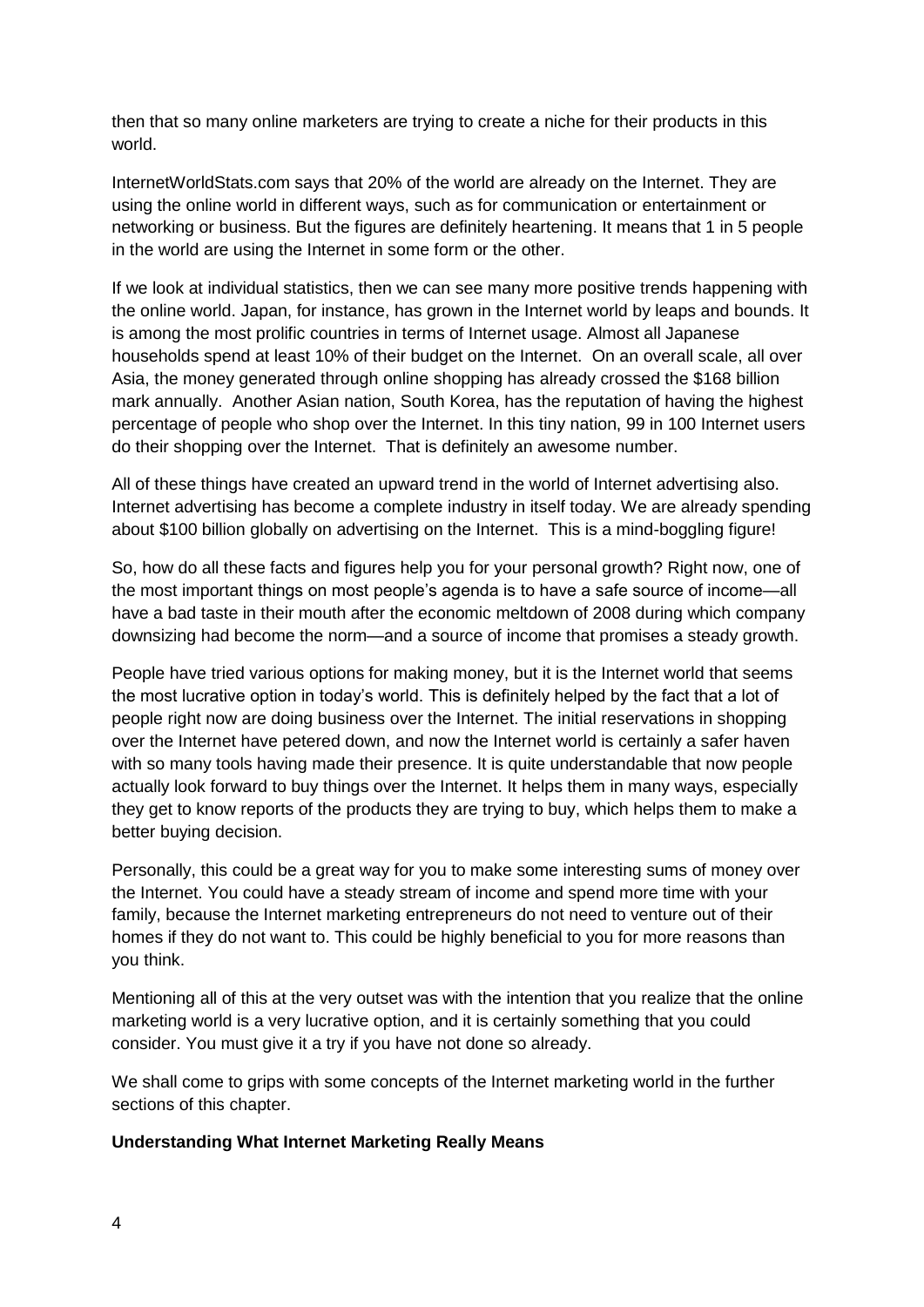then that so many online marketers are trying to create a niche for their products in this world.

InternetWorldStats.com says that 20% of the world are already on the Internet. They are using the online world in different ways, such as for communication or entertainment or networking or business. But the figures are definitely heartening. It means that 1 in 5 people in the world are using the Internet in some form or the other.

If we look at individual statistics, then we can see many more positive trends happening with the online world. Japan, for instance, has grown in the Internet world by leaps and bounds. It is among the most prolific countries in terms of Internet usage. Almost all Japanese households spend at least 10% of their budget on the Internet. On an overall scale, all over Asia, the money generated through online shopping has already crossed the \$168 billion mark annually. Another Asian nation, South Korea, has the reputation of having the highest percentage of people who shop over the Internet. In this tiny nation, 99 in 100 Internet users do their shopping over the Internet. That is definitely an awesome number.

All of these things have created an upward trend in the world of Internet advertising also. Internet advertising has become a complete industry in itself today. We are already spending about \$100 billion globally on advertising on the Internet. This is a mind-boggling figure!

So, how do all these facts and figures help you for your personal growth? Right now, one of the most important things on most people's agenda is to have a safe source of income—all have a bad taste in their mouth after the economic meltdown of 2008 during which company downsizing had become the norm—and a source of income that promises a steady growth.

People have tried various options for making money, but it is the Internet world that seems the most lucrative option in today's world. This is definitely helped by the fact that a lot of people right now are doing business over the Internet. The initial reservations in shopping over the Internet have petered down, and now the Internet world is certainly a safer haven with so many tools having made their presence. It is quite understandable that now people actually look forward to buy things over the Internet. It helps them in many ways, especially they get to know reports of the products they are trying to buy, which helps them to make a better buying decision.

Personally, this could be a great way for you to make some interesting sums of money over the Internet. You could have a steady stream of income and spend more time with your family, because the Internet marketing entrepreneurs do not need to venture out of their homes if they do not want to. This could be highly beneficial to you for more reasons than you think.

Mentioning all of this at the very outset was with the intention that you realize that the online marketing world is a very lucrative option, and it is certainly something that you could consider. You must give it a try if you have not done so already.

We shall come to grips with some concepts of the Internet marketing world in the further sections of this chapter.

#### **Understanding What Internet Marketing Really Means**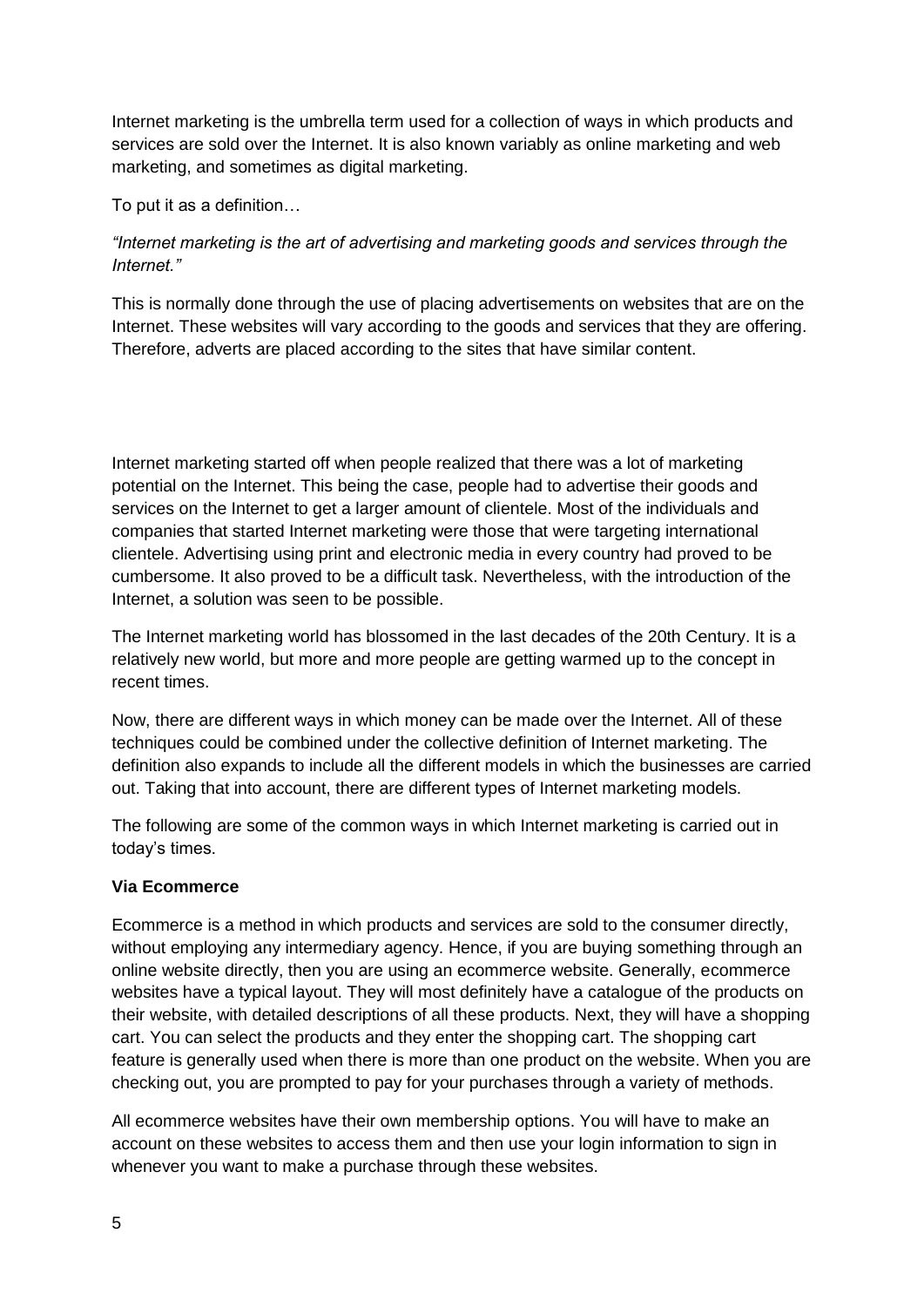Internet marketing is the umbrella term used for a collection of ways in which products and services are sold over the Internet. It is also known variably as online marketing and web marketing, and sometimes as digital marketing.

To put it as a definition…

#### *"Internet marketing is the art of advertising and marketing goods and services through the Internet."*

This is normally done through the use of placing advertisements on websites that are on the Internet. These websites will vary according to the goods and services that they are offering. Therefore, adverts are placed according to the sites that have similar content.

Internet marketing started off when people realized that there was a lot of marketing potential on the Internet. This being the case, people had to advertise their goods and services on the Internet to get a larger amount of clientele. Most of the individuals and companies that started Internet marketing were those that were targeting international clientele. Advertising using print and electronic media in every country had proved to be cumbersome. It also proved to be a difficult task. Nevertheless, with the introduction of the Internet, a solution was seen to be possible.

The Internet marketing world has blossomed in the last decades of the 20th Century. It is a relatively new world, but more and more people are getting warmed up to the concept in recent times.

Now, there are different ways in which money can be made over the Internet. All of these techniques could be combined under the collective definition of Internet marketing. The definition also expands to include all the different models in which the businesses are carried out. Taking that into account, there are different types of Internet marketing models.

The following are some of the common ways in which Internet marketing is carried out in today's times.

#### **Via Ecommerce**

Ecommerce is a method in which products and services are sold to the consumer directly, without employing any intermediary agency. Hence, if you are buying something through an online website directly, then you are using an ecommerce website. Generally, ecommerce websites have a typical layout. They will most definitely have a catalogue of the products on their website, with detailed descriptions of all these products. Next, they will have a shopping cart. You can select the products and they enter the shopping cart. The shopping cart feature is generally used when there is more than one product on the website. When you are checking out, you are prompted to pay for your purchases through a variety of methods.

All ecommerce websites have their own membership options. You will have to make an account on these websites to access them and then use your login information to sign in whenever you want to make a purchase through these websites.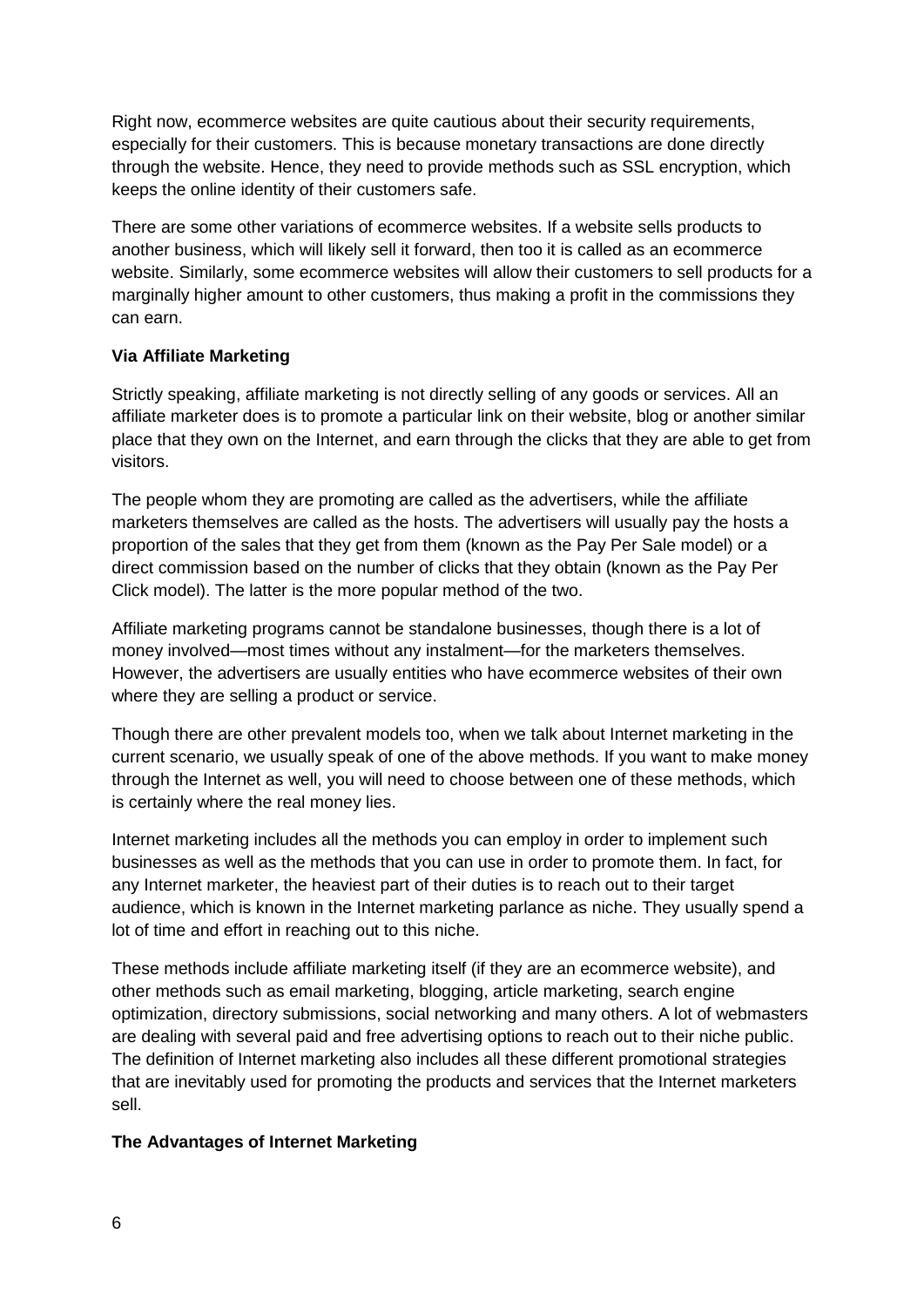Right now, ecommerce websites are quite cautious about their security requirements, especially for their customers. This is because monetary transactions are done directly through the website. Hence, they need to provide methods such as SSL encryption, which keeps the online identity of their customers safe.

There are some other variations of ecommerce websites. If a website sells products to another business, which will likely sell it forward, then too it is called as an ecommerce website. Similarly, some ecommerce websites will allow their customers to sell products for a marginally higher amount to other customers, thus making a profit in the commissions they can earn.

#### **Via Affiliate Marketing**

Strictly speaking, affiliate marketing is not directly selling of any goods or services. All an affiliate marketer does is to promote a particular link on their website, blog or another similar place that they own on the Internet, and earn through the clicks that they are able to get from visitors.

The people whom they are promoting are called as the advertisers, while the affiliate marketers themselves are called as the hosts. The advertisers will usually pay the hosts a proportion of the sales that they get from them (known as the Pay Per Sale model) or a direct commission based on the number of clicks that they obtain (known as the Pay Per Click model). The latter is the more popular method of the two.

Affiliate marketing programs cannot be standalone businesses, though there is a lot of money involved—most times without any instalment—for the marketers themselves. However, the advertisers are usually entities who have ecommerce websites of their own where they are selling a product or service.

Though there are other prevalent models too, when we talk about Internet marketing in the current scenario, we usually speak of one of the above methods. If you want to make money through the Internet as well, you will need to choose between one of these methods, which is certainly where the real money lies.

Internet marketing includes all the methods you can employ in order to implement such businesses as well as the methods that you can use in order to promote them. In fact, for any Internet marketer, the heaviest part of their duties is to reach out to their target audience, which is known in the Internet marketing parlance as niche. They usually spend a lot of time and effort in reaching out to this niche.

These methods include affiliate marketing itself (if they are an ecommerce website), and other methods such as email marketing, blogging, article marketing, search engine optimization, directory submissions, social networking and many others. A lot of webmasters are dealing with several paid and free advertising options to reach out to their niche public. The definition of Internet marketing also includes all these different promotional strategies that are inevitably used for promoting the products and services that the Internet marketers sell.

#### **The Advantages of Internet Marketing**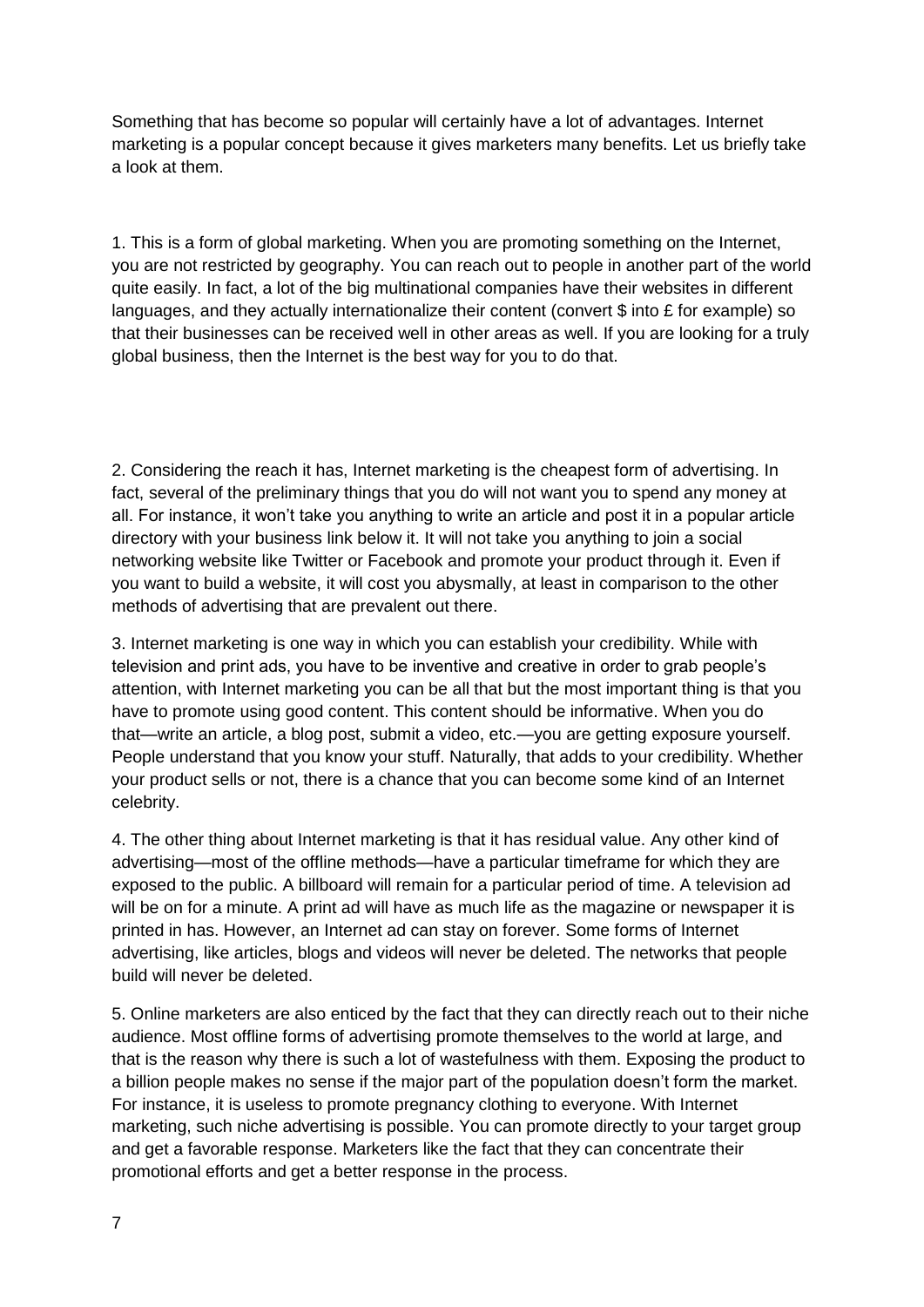Something that has become so popular will certainly have a lot of advantages. Internet marketing is a popular concept because it gives marketers many benefits. Let us briefly take a look at them.

1. This is a form of global marketing. When you are promoting something on the Internet, you are not restricted by geography. You can reach out to people in another part of the world quite easily. In fact, a lot of the big multinational companies have their websites in different languages, and they actually internationalize their content (convert \$ into £ for example) so that their businesses can be received well in other areas as well. If you are looking for a truly global business, then the Internet is the best way for you to do that.

2. Considering the reach it has, Internet marketing is the cheapest form of advertising. In fact, several of the preliminary things that you do will not want you to spend any money at all. For instance, it won't take you anything to write an article and post it in a popular article directory with your business link below it. It will not take you anything to join a social networking website like Twitter or Facebook and promote your product through it. Even if you want to build a website, it will cost you abysmally, at least in comparison to the other methods of advertising that are prevalent out there.

3. Internet marketing is one way in which you can establish your credibility. While with television and print ads, you have to be inventive and creative in order to grab people's attention, with Internet marketing you can be all that but the most important thing is that you have to promote using good content. This content should be informative. When you do that—write an article, a blog post, submit a video, etc.—you are getting exposure yourself. People understand that you know your stuff. Naturally, that adds to your credibility. Whether your product sells or not, there is a chance that you can become some kind of an Internet celebrity.

4. The other thing about Internet marketing is that it has residual value. Any other kind of advertising—most of the offline methods—have a particular timeframe for which they are exposed to the public. A billboard will remain for a particular period of time. A television ad will be on for a minute. A print ad will have as much life as the magazine or newspaper it is printed in has. However, an Internet ad can stay on forever. Some forms of Internet advertising, like articles, blogs and videos will never be deleted. The networks that people build will never be deleted.

5. Online marketers are also enticed by the fact that they can directly reach out to their niche audience. Most offline forms of advertising promote themselves to the world at large, and that is the reason why there is such a lot of wastefulness with them. Exposing the product to a billion people makes no sense if the major part of the population doesn't form the market. For instance, it is useless to promote pregnancy clothing to everyone. With Internet marketing, such niche advertising is possible. You can promote directly to your target group and get a favorable response. Marketers like the fact that they can concentrate their promotional efforts and get a better response in the process.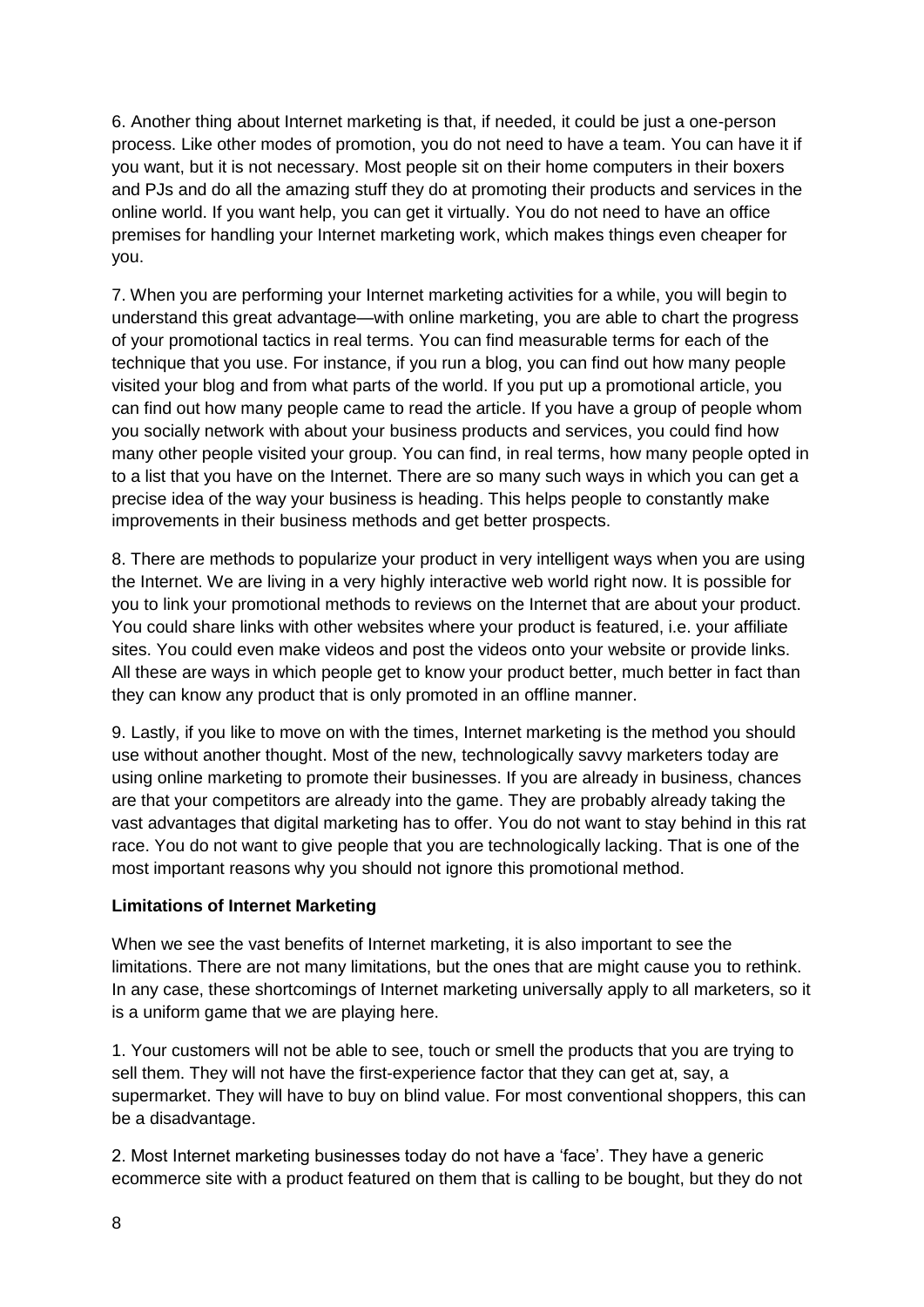6. Another thing about Internet marketing is that, if needed, it could be just a one-person process. Like other modes of promotion, you do not need to have a team. You can have it if you want, but it is not necessary. Most people sit on their home computers in their boxers and PJs and do all the amazing stuff they do at promoting their products and services in the online world. If you want help, you can get it virtually. You do not need to have an office premises for handling your Internet marketing work, which makes things even cheaper for you.

7. When you are performing your Internet marketing activities for a while, you will begin to understand this great advantage—with online marketing, you are able to chart the progress of your promotional tactics in real terms. You can find measurable terms for each of the technique that you use. For instance, if you run a blog, you can find out how many people visited your blog and from what parts of the world. If you put up a promotional article, you can find out how many people came to read the article. If you have a group of people whom you socially network with about your business products and services, you could find how many other people visited your group. You can find, in real terms, how many people opted in to a list that you have on the Internet. There are so many such ways in which you can get a precise idea of the way your business is heading. This helps people to constantly make improvements in their business methods and get better prospects.

8. There are methods to popularize your product in very intelligent ways when you are using the Internet. We are living in a very highly interactive web world right now. It is possible for you to link your promotional methods to reviews on the Internet that are about your product. You could share links with other websites where your product is featured, i.e. your affiliate sites. You could even make videos and post the videos onto your website or provide links. All these are ways in which people get to know your product better, much better in fact than they can know any product that is only promoted in an offline manner.

9. Lastly, if you like to move on with the times, Internet marketing is the method you should use without another thought. Most of the new, technologically savvy marketers today are using online marketing to promote their businesses. If you are already in business, chances are that your competitors are already into the game. They are probably already taking the vast advantages that digital marketing has to offer. You do not want to stay behind in this rat race. You do not want to give people that you are technologically lacking. That is one of the most important reasons why you should not ignore this promotional method.

#### **Limitations of Internet Marketing**

When we see the vast benefits of Internet marketing, it is also important to see the limitations. There are not many limitations, but the ones that are might cause you to rethink. In any case, these shortcomings of Internet marketing universally apply to all marketers, so it is a uniform game that we are playing here.

1. Your customers will not be able to see, touch or smell the products that you are trying to sell them. They will not have the first-experience factor that they can get at, say, a supermarket. They will have to buy on blind value. For most conventional shoppers, this can be a disadvantage.

2. Most Internet marketing businesses today do not have a 'face'. They have a generic ecommerce site with a product featured on them that is calling to be bought, but they do not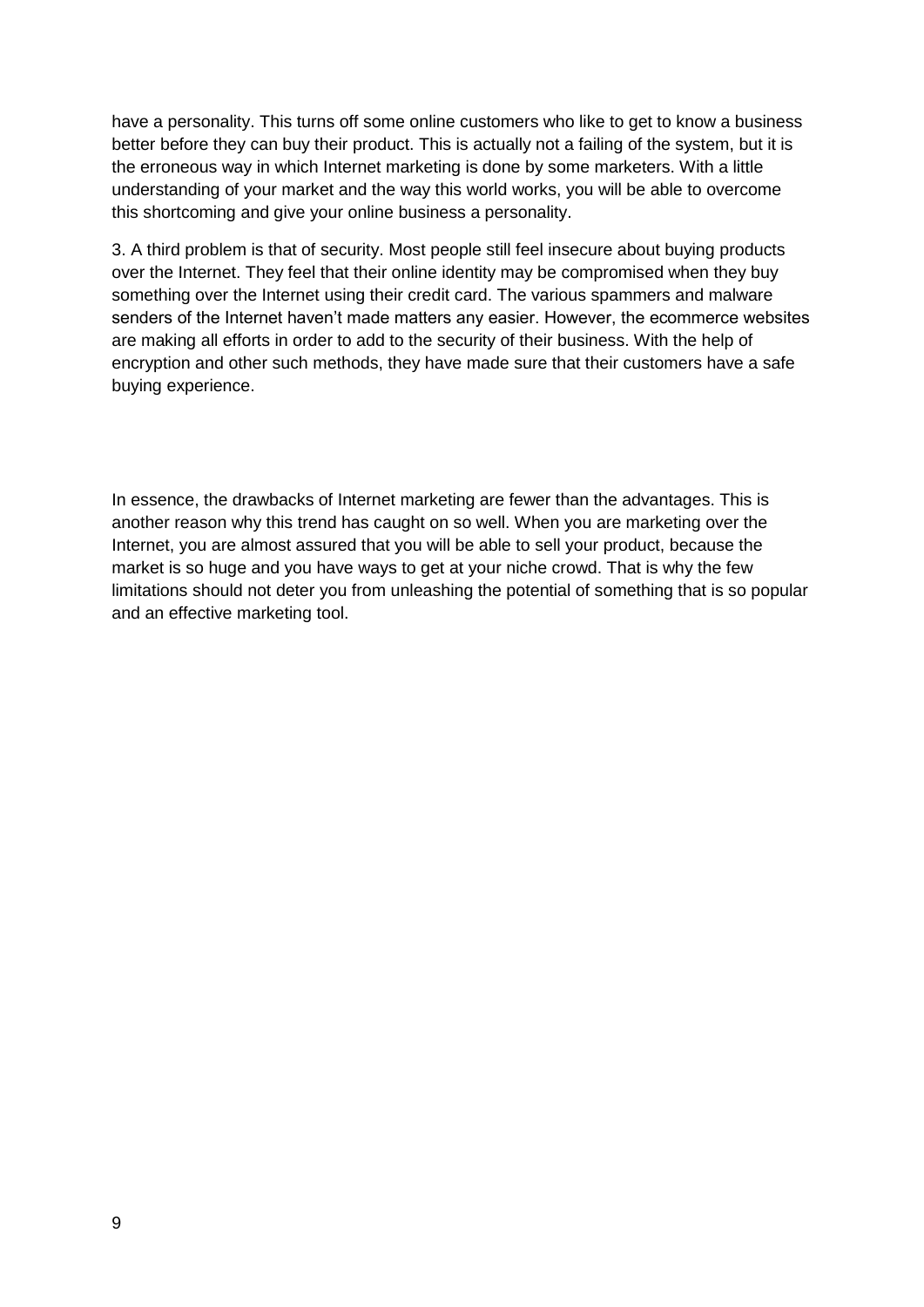have a personality. This turns off some online customers who like to get to know a business better before they can buy their product. This is actually not a failing of the system, but it is the erroneous way in which Internet marketing is done by some marketers. With a little understanding of your market and the way this world works, you will be able to overcome this shortcoming and give your online business a personality.

3. A third problem is that of security. Most people still feel insecure about buying products over the Internet. They feel that their online identity may be compromised when they buy something over the Internet using their credit card. The various spammers and malware senders of the Internet haven't made matters any easier. However, the ecommerce websites are making all efforts in order to add to the security of their business. With the help of encryption and other such methods, they have made sure that their customers have a safe buying experience.

In essence, the drawbacks of Internet marketing are fewer than the advantages. This is another reason why this trend has caught on so well. When you are marketing over the Internet, you are almost assured that you will be able to sell your product, because the market is so huge and you have ways to get at your niche crowd. That is why the few limitations should not deter you from unleashing the potential of something that is so popular and an effective marketing tool.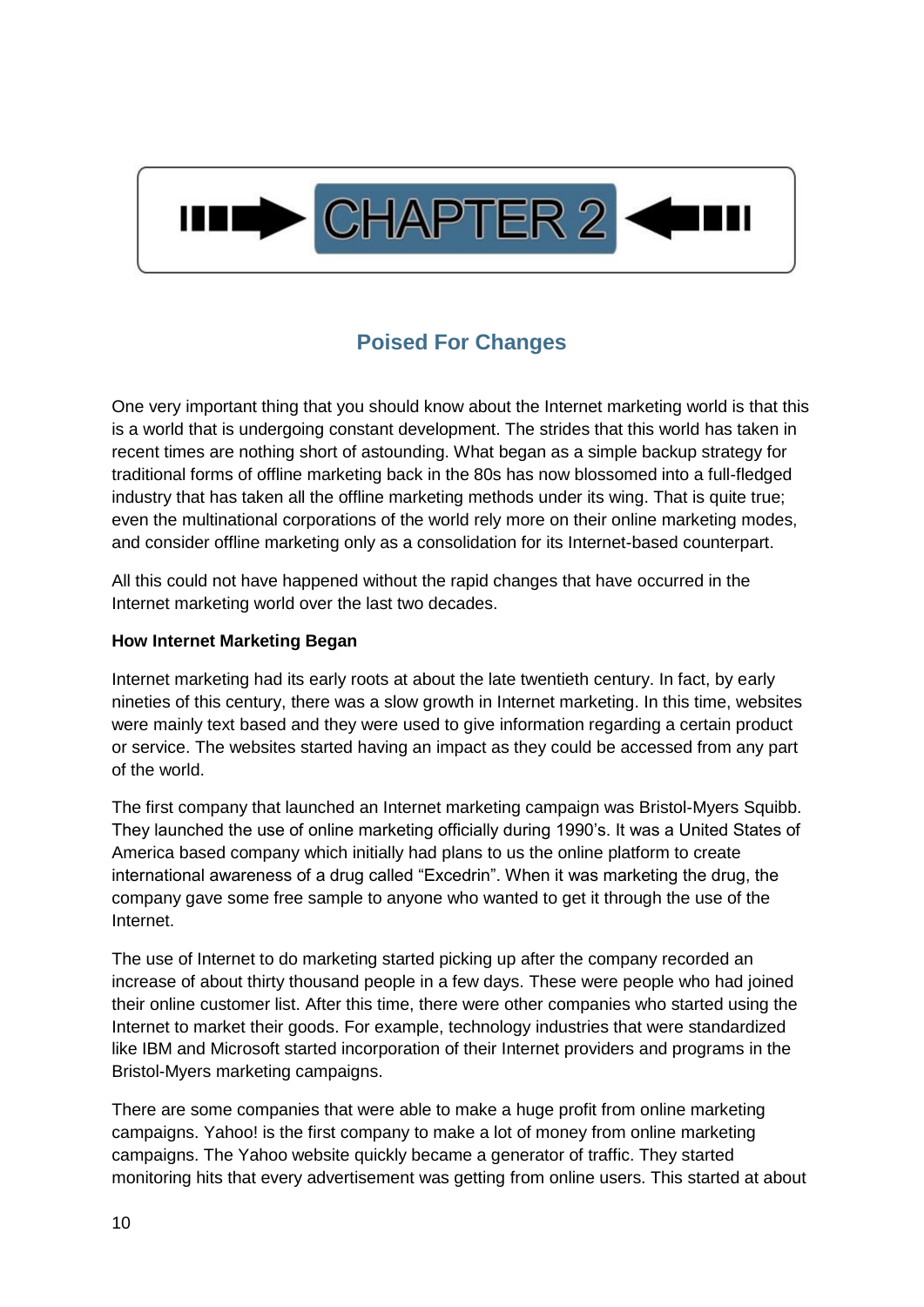

## **Poised For Changes**

<span id="page-9-0"></span>One very important thing that you should know about the Internet marketing world is that this is a world that is undergoing constant development. The strides that this world has taken in recent times are nothing short of astounding. What began as a simple backup strategy for traditional forms of offline marketing back in the 80s has now blossomed into a full-fledged industry that has taken all the offline marketing methods under its wing. That is quite true; even the multinational corporations of the world rely more on their online marketing modes, and consider offline marketing only as a consolidation for its Internet-based counterpart.

All this could not have happened without the rapid changes that have occurred in the Internet marketing world over the last two decades.

#### **How Internet Marketing Began**

Internet marketing had its early roots at about the late twentieth century. In fact, by early nineties of this century, there was a slow growth in Internet marketing. In this time, websites were mainly text based and they were used to give information regarding a certain product or service. The websites started having an impact as they could be accessed from any part of the world.

The first company that launched an Internet marketing campaign was Bristol-Myers Squibb. They launched the use of online marketing officially during 1990's. It was a United States of America based company which initially had plans to us the online platform to create international awareness of a drug called "Excedrin". When it was marketing the drug, the company gave some free sample to anyone who wanted to get it through the use of the Internet.

The use of Internet to do marketing started picking up after the company recorded an increase of about thirty thousand people in a few days. These were people who had joined their online customer list. After this time, there were other companies who started using the Internet to market their goods. For example, technology industries that were standardized like IBM and Microsoft started incorporation of their Internet providers and programs in the Bristol-Myers marketing campaigns.

There are some companies that were able to make a huge profit from online marketing campaigns. Yahoo! is the first company to make a lot of money from online marketing campaigns. The Yahoo website quickly became a generator of traffic. They started monitoring hits that every advertisement was getting from online users. This started at about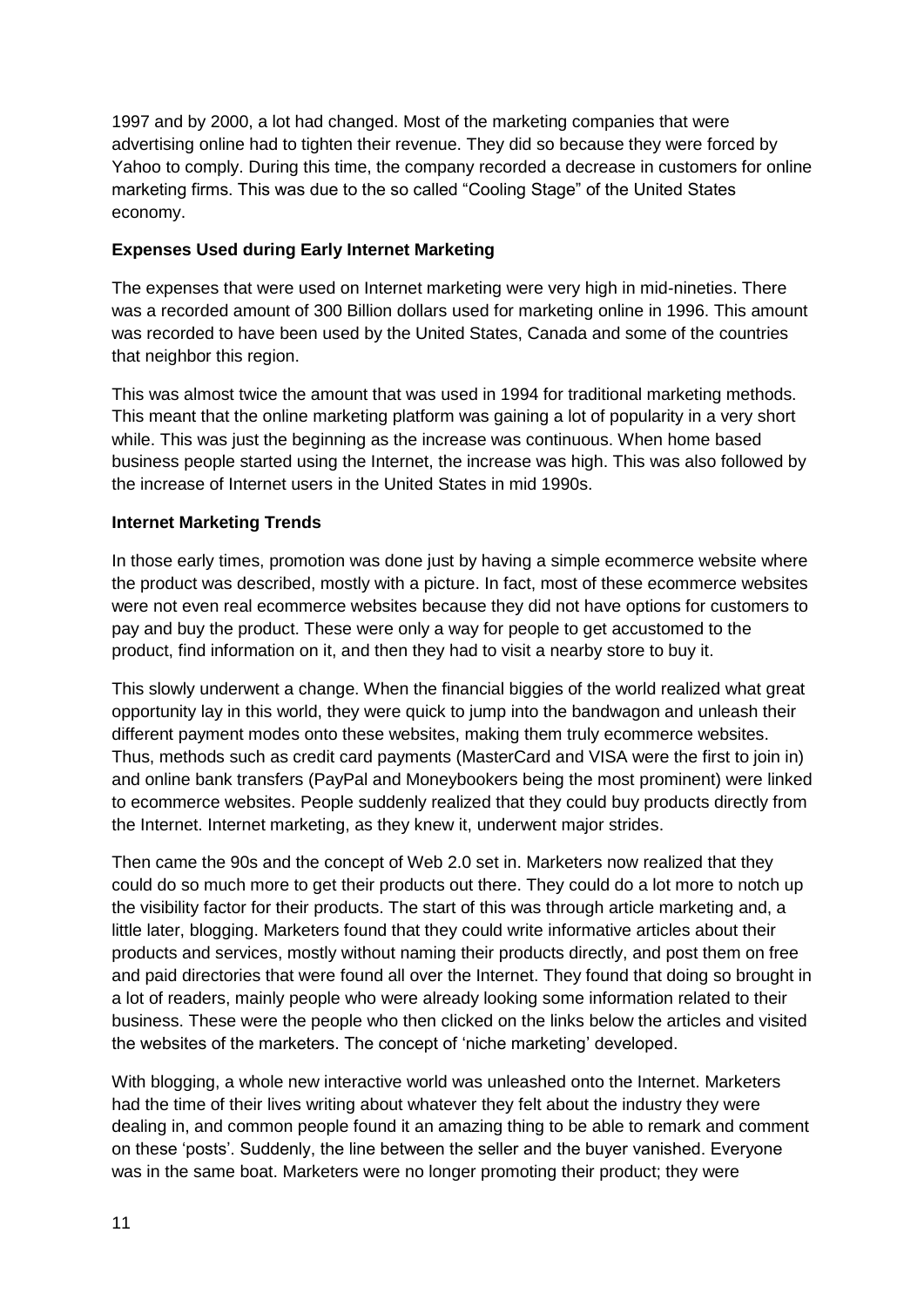1997 and by 2000, a lot had changed. Most of the marketing companies that were advertising online had to tighten their revenue. They did so because they were forced by Yahoo to comply. During this time, the company recorded a decrease in customers for online marketing firms. This was due to the so called "Cooling Stage" of the United States economy.

#### **Expenses Used during Early Internet Marketing**

The expenses that were used on Internet marketing were very high in mid-nineties. There was a recorded amount of 300 Billion dollars used for marketing online in 1996. This amount was recorded to have been used by the United States, Canada and some of the countries that neighbor this region.

This was almost twice the amount that was used in 1994 for traditional marketing methods. This meant that the online marketing platform was gaining a lot of popularity in a very short while. This was just the beginning as the increase was continuous. When home based business people started using the Internet, the increase was high. This was also followed by the increase of Internet users in the United States in mid 1990s.

#### **Internet Marketing Trends**

In those early times, promotion was done just by having a simple ecommerce website where the product was described, mostly with a picture. In fact, most of these ecommerce websites were not even real ecommerce websites because they did not have options for customers to pay and buy the product. These were only a way for people to get accustomed to the product, find information on it, and then they had to visit a nearby store to buy it.

This slowly underwent a change. When the financial biggies of the world realized what great opportunity lay in this world, they were quick to jump into the bandwagon and unleash their different payment modes onto these websites, making them truly ecommerce websites. Thus, methods such as credit card payments (MasterCard and VISA were the first to join in) and online bank transfers (PayPal and Moneybookers being the most prominent) were linked to ecommerce websites. People suddenly realized that they could buy products directly from the Internet. Internet marketing, as they knew it, underwent major strides.

Then came the 90s and the concept of Web 2.0 set in. Marketers now realized that they could do so much more to get their products out there. They could do a lot more to notch up the visibility factor for their products. The start of this was through article marketing and, a little later, blogging. Marketers found that they could write informative articles about their products and services, mostly without naming their products directly, and post them on free and paid directories that were found all over the Internet. They found that doing so brought in a lot of readers, mainly people who were already looking some information related to their business. These were the people who then clicked on the links below the articles and visited the websites of the marketers. The concept of 'niche marketing' developed.

With blogging, a whole new interactive world was unleashed onto the Internet. Marketers had the time of their lives writing about whatever they felt about the industry they were dealing in, and common people found it an amazing thing to be able to remark and comment on these 'posts'. Suddenly, the line between the seller and the buyer vanished. Everyone was in the same boat. Marketers were no longer promoting their product; they were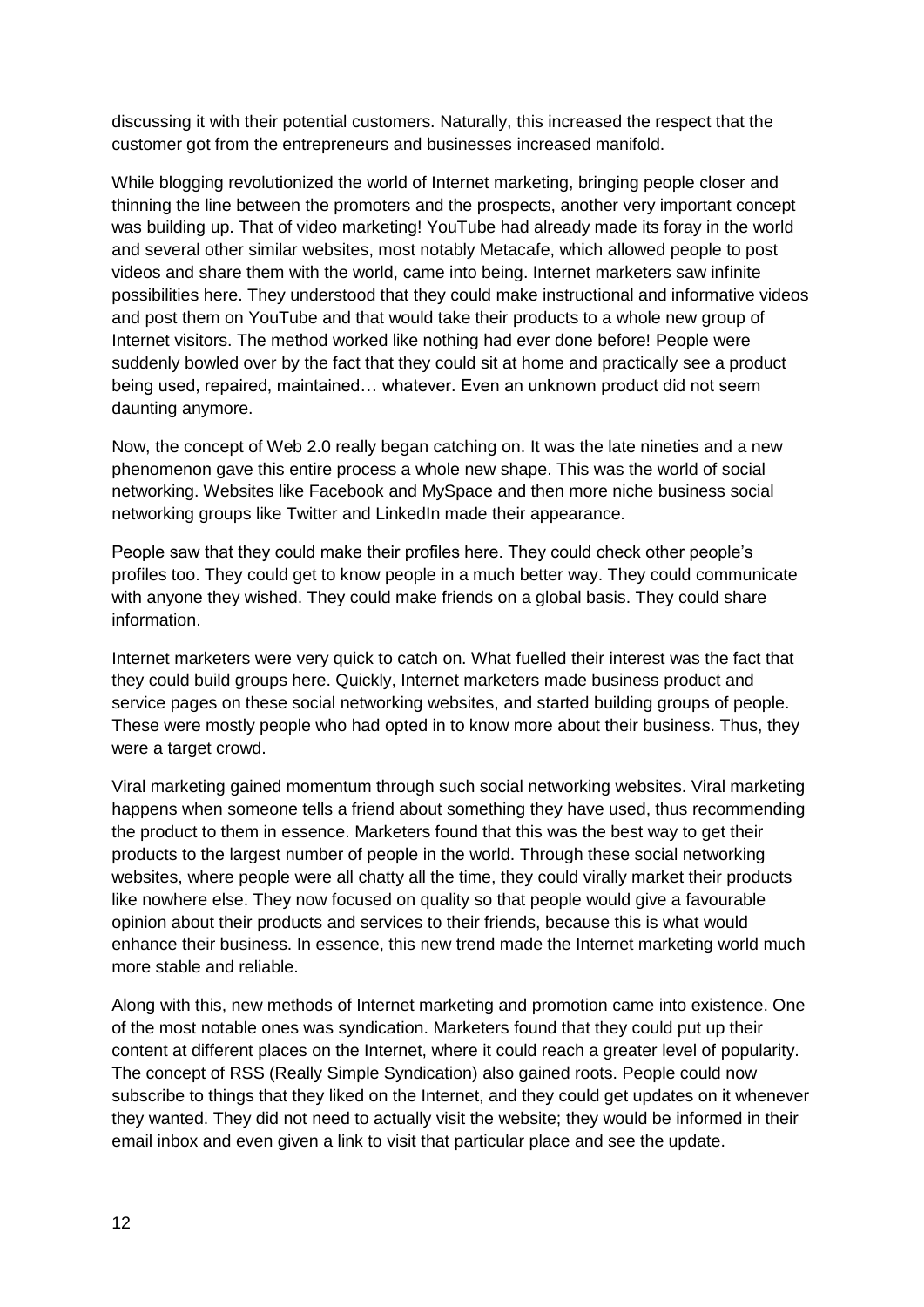discussing it with their potential customers. Naturally, this increased the respect that the customer got from the entrepreneurs and businesses increased manifold.

While blogging revolutionized the world of Internet marketing, bringing people closer and thinning the line between the promoters and the prospects, another very important concept was building up. That of video marketing! YouTube had already made its foray in the world and several other similar websites, most notably Metacafe, which allowed people to post videos and share them with the world, came into being. Internet marketers saw infinite possibilities here. They understood that they could make instructional and informative videos and post them on YouTube and that would take their products to a whole new group of Internet visitors. The method worked like nothing had ever done before! People were suddenly bowled over by the fact that they could sit at home and practically see a product being used, repaired, maintained… whatever. Even an unknown product did not seem daunting anymore.

Now, the concept of Web 2.0 really began catching on. It was the late nineties and a new phenomenon gave this entire process a whole new shape. This was the world of social networking. Websites like Facebook and MySpace and then more niche business social networking groups like Twitter and LinkedIn made their appearance.

People saw that they could make their profiles here. They could check other people's profiles too. They could get to know people in a much better way. They could communicate with anyone they wished. They could make friends on a global basis. They could share information.

Internet marketers were very quick to catch on. What fuelled their interest was the fact that they could build groups here. Quickly, Internet marketers made business product and service pages on these social networking websites, and started building groups of people. These were mostly people who had opted in to know more about their business. Thus, they were a target crowd.

Viral marketing gained momentum through such social networking websites. Viral marketing happens when someone tells a friend about something they have used, thus recommending the product to them in essence. Marketers found that this was the best way to get their products to the largest number of people in the world. Through these social networking websites, where people were all chatty all the time, they could virally market their products like nowhere else. They now focused on quality so that people would give a favourable opinion about their products and services to their friends, because this is what would enhance their business. In essence, this new trend made the Internet marketing world much more stable and reliable.

Along with this, new methods of Internet marketing and promotion came into existence. One of the most notable ones was syndication. Marketers found that they could put up their content at different places on the Internet, where it could reach a greater level of popularity. The concept of RSS (Really Simple Syndication) also gained roots. People could now subscribe to things that they liked on the Internet, and they could get updates on it whenever they wanted. They did not need to actually visit the website; they would be informed in their email inbox and even given a link to visit that particular place and see the update.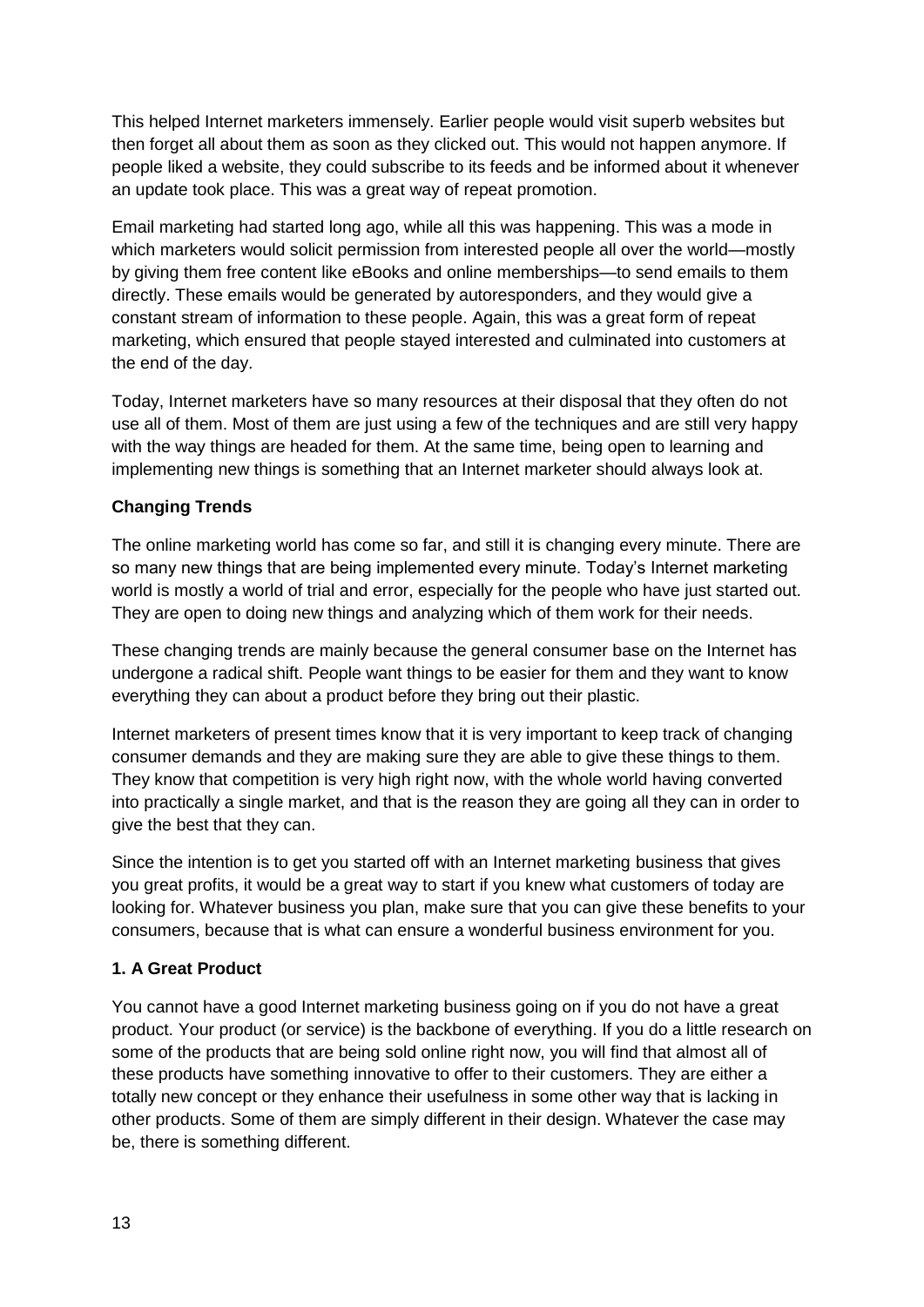This helped Internet marketers immensely. Earlier people would visit superb websites but then forget all about them as soon as they clicked out. This would not happen anymore. If people liked a website, they could subscribe to its feeds and be informed about it whenever an update took place. This was a great way of repeat promotion.

Email marketing had started long ago, while all this was happening. This was a mode in which marketers would solicit permission from interested people all over the world—mostly by giving them free content like eBooks and online memberships—to send emails to them directly. These emails would be generated by autoresponders, and they would give a constant stream of information to these people. Again, this was a great form of repeat marketing, which ensured that people stayed interested and culminated into customers at the end of the day.

Today, Internet marketers have so many resources at their disposal that they often do not use all of them. Most of them are just using a few of the techniques and are still very happy with the way things are headed for them. At the same time, being open to learning and implementing new things is something that an Internet marketer should always look at.

#### **Changing Trends**

The online marketing world has come so far, and still it is changing every minute. There are so many new things that are being implemented every minute. Today's Internet marketing world is mostly a world of trial and error, especially for the people who have just started out. They are open to doing new things and analyzing which of them work for their needs.

These changing trends are mainly because the general consumer base on the Internet has undergone a radical shift. People want things to be easier for them and they want to know everything they can about a product before they bring out their plastic.

Internet marketers of present times know that it is very important to keep track of changing consumer demands and they are making sure they are able to give these things to them. They know that competition is very high right now, with the whole world having converted into practically a single market, and that is the reason they are going all they can in order to give the best that they can.

Since the intention is to get you started off with an Internet marketing business that gives you great profits, it would be a great way to start if you knew what customers of today are looking for. Whatever business you plan, make sure that you can give these benefits to your consumers, because that is what can ensure a wonderful business environment for you.

#### **1. A Great Product**

You cannot have a good Internet marketing business going on if you do not have a great product. Your product (or service) is the backbone of everything. If you do a little research on some of the products that are being sold online right now, you will find that almost all of these products have something innovative to offer to their customers. They are either a totally new concept or they enhance their usefulness in some other way that is lacking in other products. Some of them are simply different in their design. Whatever the case may be, there is something different.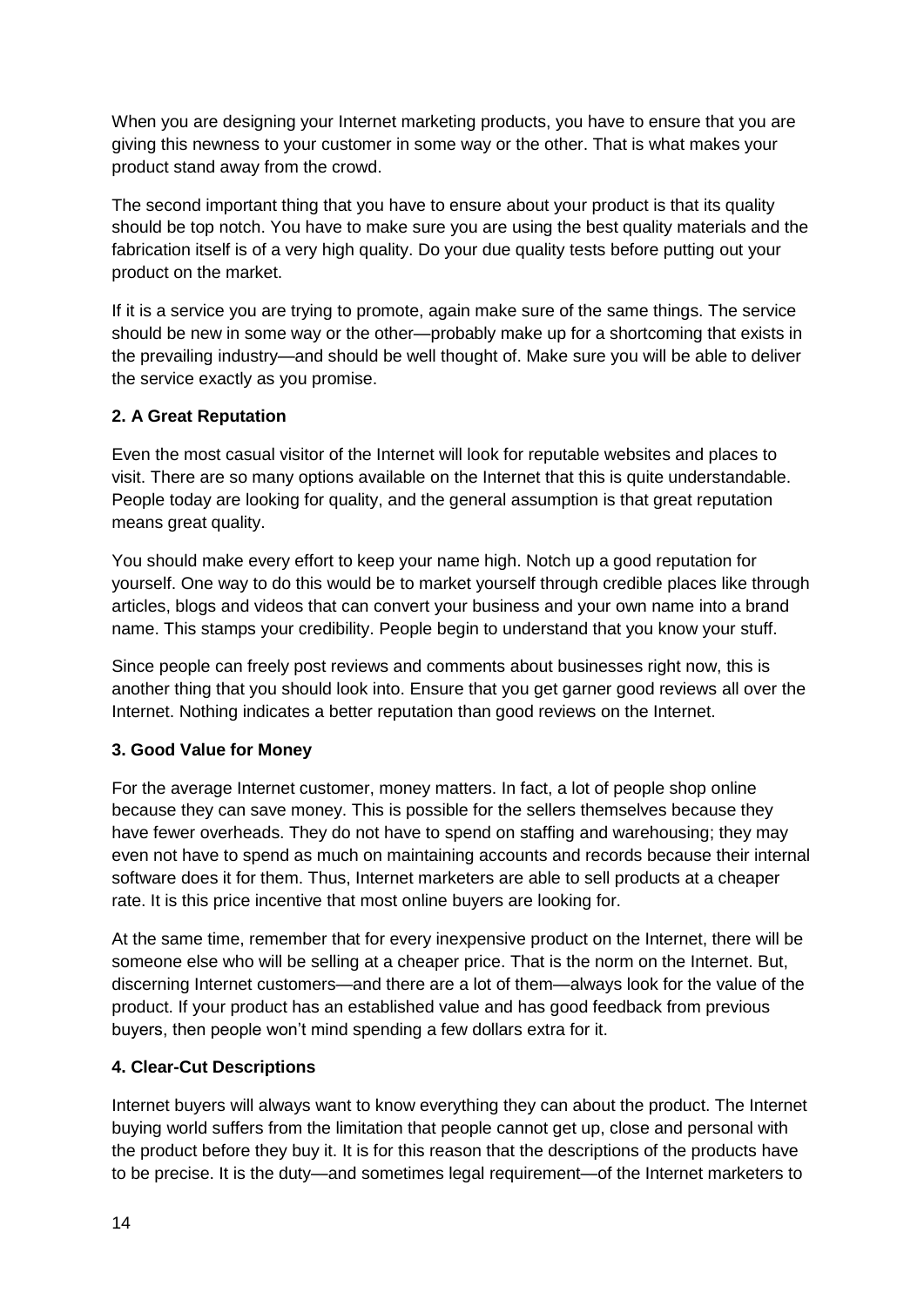When you are designing your Internet marketing products, you have to ensure that you are giving this newness to your customer in some way or the other. That is what makes your product stand away from the crowd.

The second important thing that you have to ensure about your product is that its quality should be top notch. You have to make sure you are using the best quality materials and the fabrication itself is of a very high quality. Do your due quality tests before putting out your product on the market.

If it is a service you are trying to promote, again make sure of the same things. The service should be new in some way or the other—probably make up for a shortcoming that exists in the prevailing industry—and should be well thought of. Make sure you will be able to deliver the service exactly as you promise.

#### **2. A Great Reputation**

Even the most casual visitor of the Internet will look for reputable websites and places to visit. There are so many options available on the Internet that this is quite understandable. People today are looking for quality, and the general assumption is that great reputation means great quality.

You should make every effort to keep your name high. Notch up a good reputation for yourself. One way to do this would be to market yourself through credible places like through articles, blogs and videos that can convert your business and your own name into a brand name. This stamps your credibility. People begin to understand that you know your stuff.

Since people can freely post reviews and comments about businesses right now, this is another thing that you should look into. Ensure that you get garner good reviews all over the Internet. Nothing indicates a better reputation than good reviews on the Internet.

#### **3. Good Value for Money**

For the average Internet customer, money matters. In fact, a lot of people shop online because they can save money. This is possible for the sellers themselves because they have fewer overheads. They do not have to spend on staffing and warehousing; they may even not have to spend as much on maintaining accounts and records because their internal software does it for them. Thus, Internet marketers are able to sell products at a cheaper rate. It is this price incentive that most online buyers are looking for.

At the same time, remember that for every inexpensive product on the Internet, there will be someone else who will be selling at a cheaper price. That is the norm on the Internet. But, discerning Internet customers—and there are a lot of them—always look for the value of the product. If your product has an established value and has good feedback from previous buyers, then people won't mind spending a few dollars extra for it.

#### **4. Clear-Cut Descriptions**

Internet buyers will always want to know everything they can about the product. The Internet buying world suffers from the limitation that people cannot get up, close and personal with the product before they buy it. It is for this reason that the descriptions of the products have to be precise. It is the duty—and sometimes legal requirement—of the Internet marketers to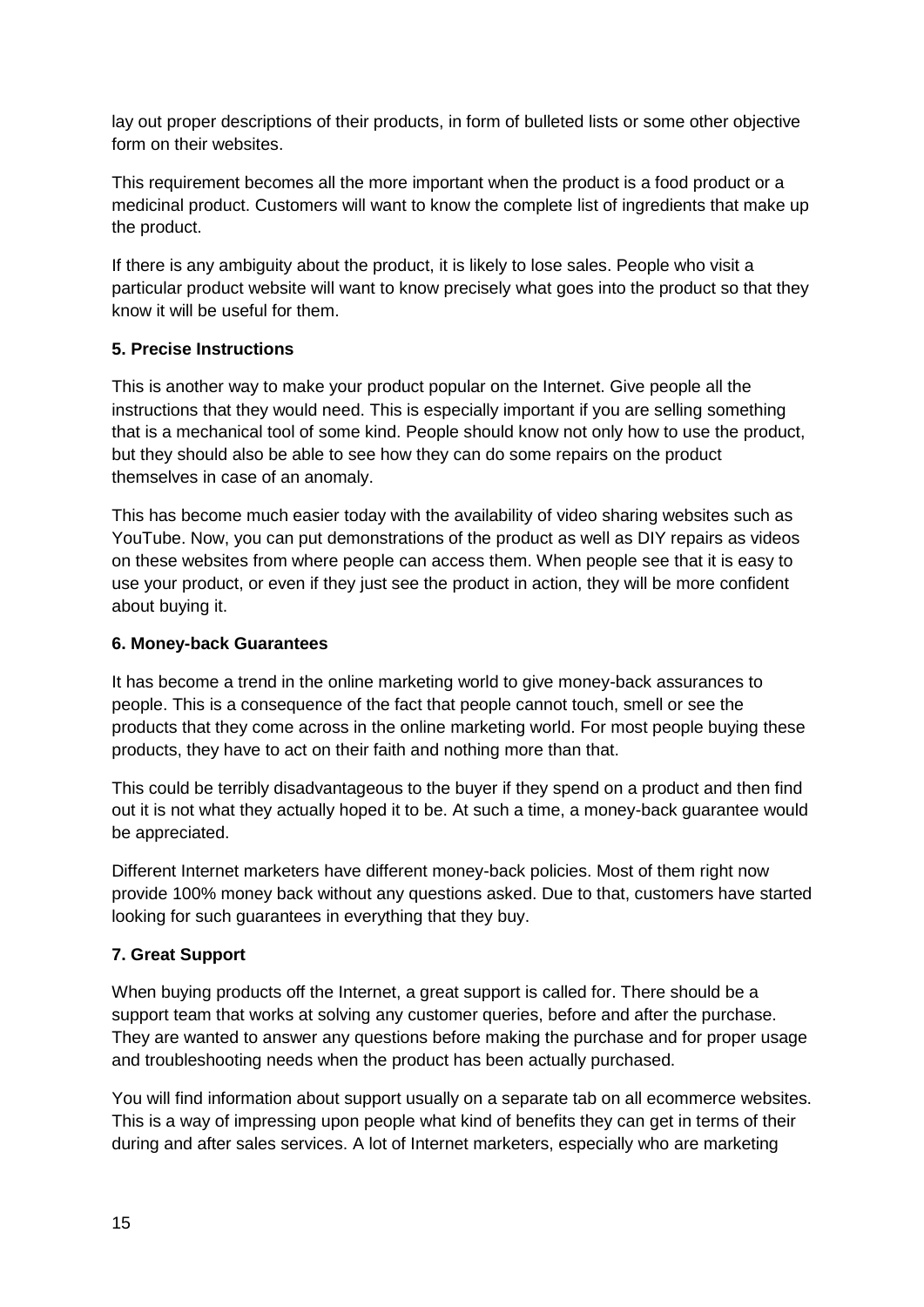lay out proper descriptions of their products, in form of bulleted lists or some other objective form on their websites.

This requirement becomes all the more important when the product is a food product or a medicinal product. Customers will want to know the complete list of ingredients that make up the product.

If there is any ambiguity about the product, it is likely to lose sales. People who visit a particular product website will want to know precisely what goes into the product so that they know it will be useful for them.

#### **5. Precise Instructions**

This is another way to make your product popular on the Internet. Give people all the instructions that they would need. This is especially important if you are selling something that is a mechanical tool of some kind. People should know not only how to use the product, but they should also be able to see how they can do some repairs on the product themselves in case of an anomaly.

This has become much easier today with the availability of video sharing websites such as YouTube. Now, you can put demonstrations of the product as well as DIY repairs as videos on these websites from where people can access them. When people see that it is easy to use your product, or even if they just see the product in action, they will be more confident about buying it.

#### **6. Money-back Guarantees**

It has become a trend in the online marketing world to give money-back assurances to people. This is a consequence of the fact that people cannot touch, smell or see the products that they come across in the online marketing world. For most people buying these products, they have to act on their faith and nothing more than that.

This could be terribly disadvantageous to the buyer if they spend on a product and then find out it is not what they actually hoped it to be. At such a time, a money-back guarantee would be appreciated.

Different Internet marketers have different money-back policies. Most of them right now provide 100% money back without any questions asked. Due to that, customers have started looking for such guarantees in everything that they buy.

#### **7. Great Support**

When buying products off the Internet, a great support is called for. There should be a support team that works at solving any customer queries, before and after the purchase. They are wanted to answer any questions before making the purchase and for proper usage and troubleshooting needs when the product has been actually purchased.

You will find information about support usually on a separate tab on all ecommerce websites. This is a way of impressing upon people what kind of benefits they can get in terms of their during and after sales services. A lot of Internet marketers, especially who are marketing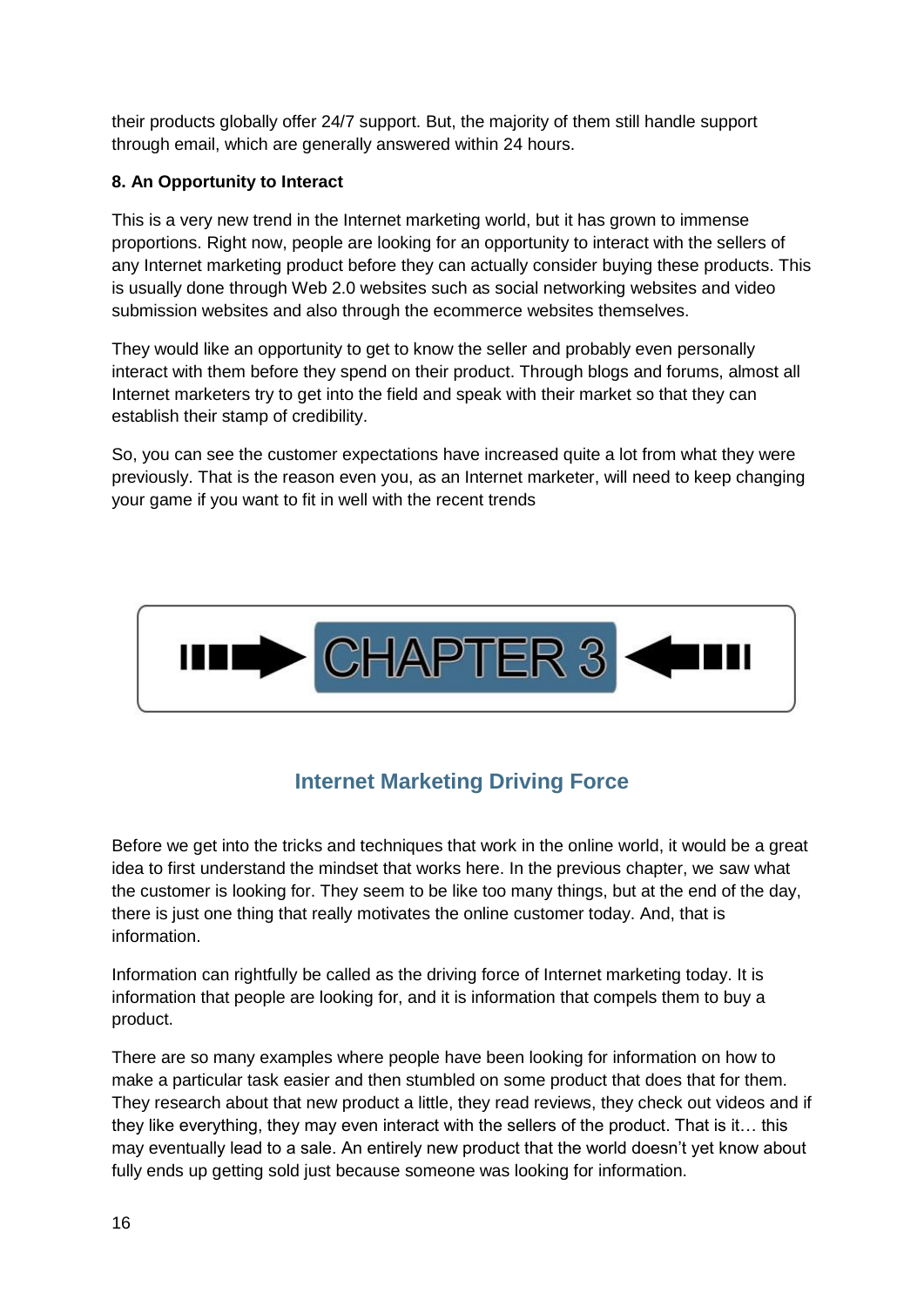their products globally offer 24/7 support. But, the majority of them still handle support through email, which are generally answered within 24 hours.

#### **8. An Opportunity to Interact**

This is a very new trend in the Internet marketing world, but it has grown to immense proportions. Right now, people are looking for an opportunity to interact with the sellers of any Internet marketing product before they can actually consider buying these products. This is usually done through Web 2.0 websites such as social networking websites and video submission websites and also through the ecommerce websites themselves.

They would like an opportunity to get to know the seller and probably even personally interact with them before they spend on their product. Through blogs and forums, almost all Internet marketers try to get into the field and speak with their market so that they can establish their stamp of credibility.

So, you can see the customer expectations have increased quite a lot from what they were previously. That is the reason even you, as an Internet marketer, will need to keep changing your game if you want to fit in well with the recent trends



# **Internet Marketing Driving Force**

<span id="page-15-0"></span>Before we get into the tricks and techniques that work in the online world, it would be a great idea to first understand the mindset that works here. In the previous chapter, we saw what the customer is looking for. They seem to be like too many things, but at the end of the day, there is just one thing that really motivates the online customer today. And, that is information.

Information can rightfully be called as the driving force of Internet marketing today. It is information that people are looking for, and it is information that compels them to buy a product.

There are so many examples where people have been looking for information on how to make a particular task easier and then stumbled on some product that does that for them. They research about that new product a little, they read reviews, they check out videos and if they like everything, they may even interact with the sellers of the product. That is it… this may eventually lead to a sale. An entirely new product that the world doesn't yet know about fully ends up getting sold just because someone was looking for information.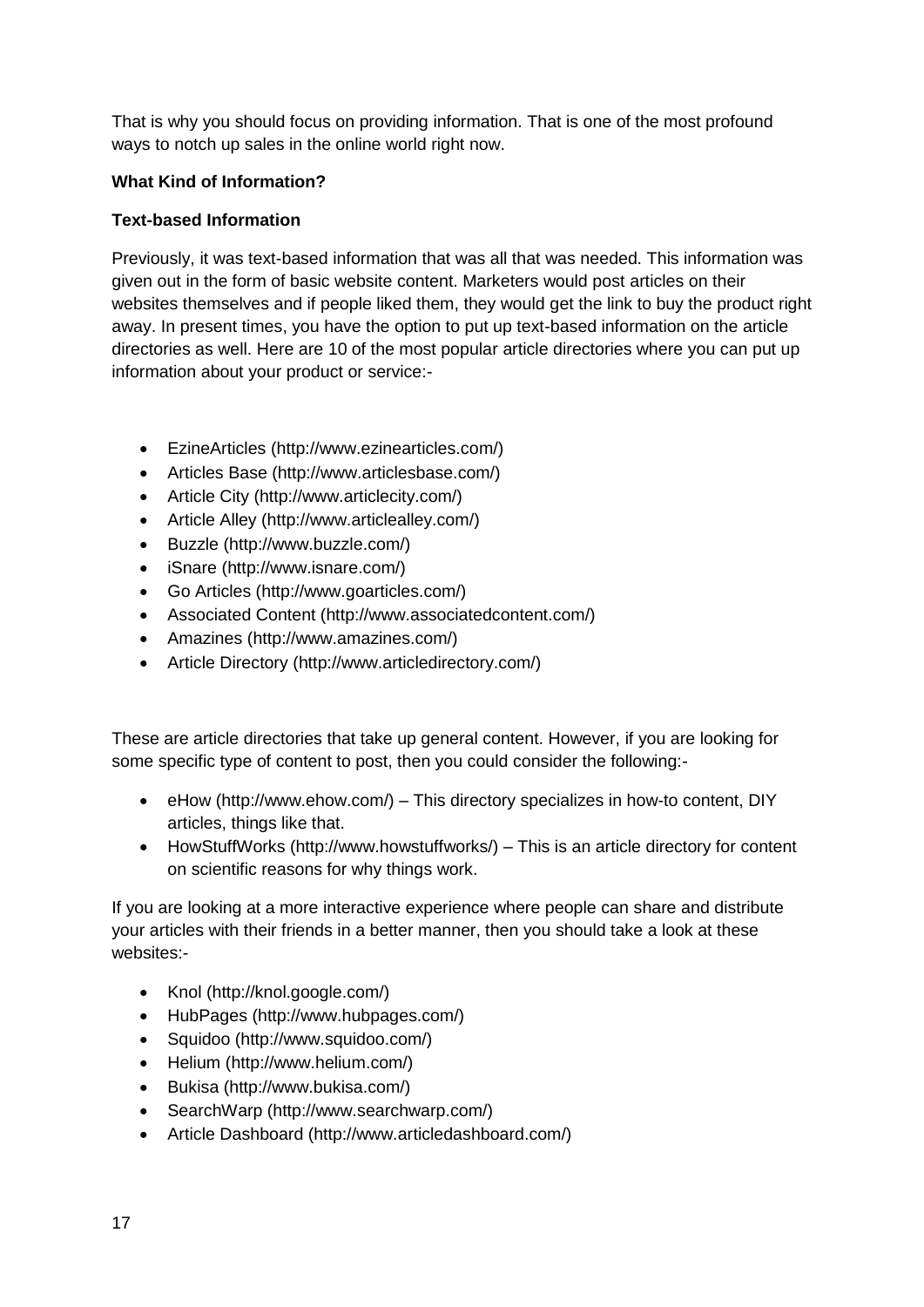That is why you should focus on providing information. That is one of the most profound ways to notch up sales in the online world right now.

#### **What Kind of Information?**

#### **Text-based Information**

Previously, it was text-based information that was all that was needed. This information was given out in the form of basic website content. Marketers would post articles on their websites themselves and if people liked them, they would get the link to buy the product right away. In present times, you have the option to put up text-based information on the article directories as well. Here are 10 of the most popular article directories where you can put up information about your product or service:-

- EzineArticles (http://www.ezinearticles.com/)
- Articles Base (http://www.articlesbase.com/)
- Article City (http://www.articlecity.com/)
- Article Alley (http://www.articlealley.com/)
- Buzzle (http://www.buzzle.com/)
- iSnare (http://www.isnare.com/)
- Go Articles (http://www.goarticles.com/)
- Associated Content (http://www.associatedcontent.com/)
- Amazines (http://www.amazines.com/)
- Article Directory (http://www.articledirectory.com/)

These are article directories that take up general content. However, if you are looking for some specific type of content to post, then you could consider the following:-

- eHow (http://www.ehow.com/) This directory specializes in how-to content, DIY articles, things like that.
- HowStuffWorks (http://www.howstuffworks/) This is an article directory for content on scientific reasons for why things work.

If you are looking at a more interactive experience where people can share and distribute your articles with their friends in a better manner, then you should take a look at these websites:-

- Knol (http://knol.google.com/)
- HubPages (http://www.hubpages.com/)
- Squidoo (http://www.squidoo.com/)
- Helium (http://www.helium.com/)
- Bukisa (http://www.bukisa.com/)
- SearchWarp (http://www.searchwarp.com/)
- Article Dashboard (http://www.articledashboard.com/)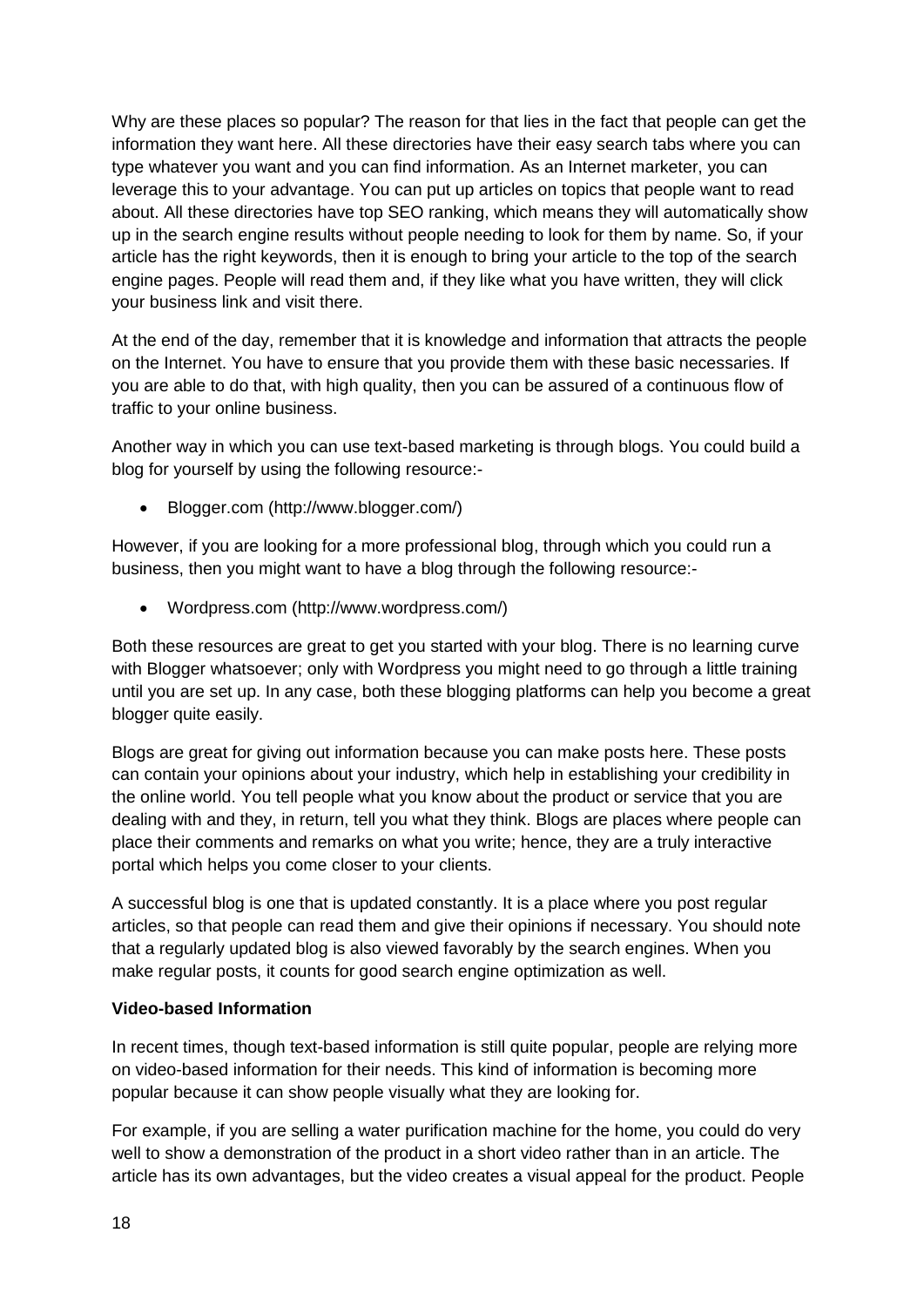Why are these places so popular? The reason for that lies in the fact that people can get the information they want here. All these directories have their easy search tabs where you can type whatever you want and you can find information. As an Internet marketer, you can leverage this to your advantage. You can put up articles on topics that people want to read about. All these directories have top SEO ranking, which means they will automatically show up in the search engine results without people needing to look for them by name. So, if your article has the right keywords, then it is enough to bring your article to the top of the search engine pages. People will read them and, if they like what you have written, they will click your business link and visit there.

At the end of the day, remember that it is knowledge and information that attracts the people on the Internet. You have to ensure that you provide them with these basic necessaries. If you are able to do that, with high quality, then you can be assured of a continuous flow of traffic to your online business.

Another way in which you can use text-based marketing is through blogs. You could build a blog for yourself by using the following resource:-

Blogger.com (http://www.blogger.com/)

However, if you are looking for a more professional blog, through which you could run a business, then you might want to have a blog through the following resource:-

Wordpress.com (http://www.wordpress.com/)

Both these resources are great to get you started with your blog. There is no learning curve with Blogger whatsoever; only with Wordpress you might need to go through a little training until you are set up. In any case, both these blogging platforms can help you become a great blogger quite easily.

Blogs are great for giving out information because you can make posts here. These posts can contain your opinions about your industry, which help in establishing your credibility in the online world. You tell people what you know about the product or service that you are dealing with and they, in return, tell you what they think. Blogs are places where people can place their comments and remarks on what you write; hence, they are a truly interactive portal which helps you come closer to your clients.

A successful blog is one that is updated constantly. It is a place where you post regular articles, so that people can read them and give their opinions if necessary. You should note that a regularly updated blog is also viewed favorably by the search engines. When you make regular posts, it counts for good search engine optimization as well.

#### **Video-based Information**

In recent times, though text-based information is still quite popular, people are relying more on video-based information for their needs. This kind of information is becoming more popular because it can show people visually what they are looking for.

For example, if you are selling a water purification machine for the home, you could do very well to show a demonstration of the product in a short video rather than in an article. The article has its own advantages, but the video creates a visual appeal for the product. People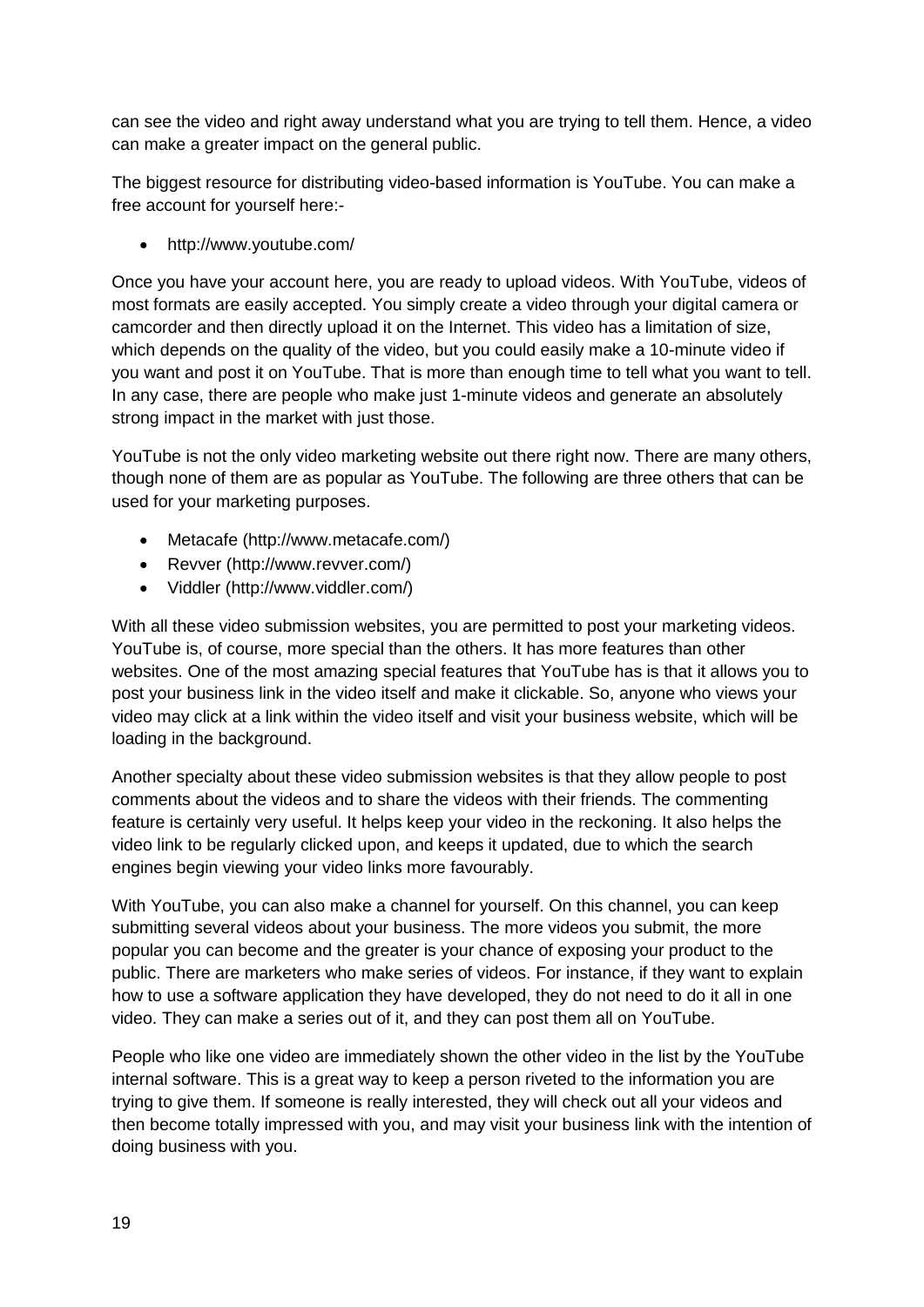can see the video and right away understand what you are trying to tell them. Hence, a video can make a greater impact on the general public.

The biggest resource for distributing video-based information is YouTube. You can make a free account for yourself here:-

http://www.youtube.com/

Once you have your account here, you are ready to upload videos. With YouTube, videos of most formats are easily accepted. You simply create a video through your digital camera or camcorder and then directly upload it on the Internet. This video has a limitation of size, which depends on the quality of the video, but you could easily make a 10-minute video if you want and post it on YouTube. That is more than enough time to tell what you want to tell. In any case, there are people who make just 1-minute videos and generate an absolutely strong impact in the market with just those.

YouTube is not the only video marketing website out there right now. There are many others, though none of them are as popular as YouTube. The following are three others that can be used for your marketing purposes.

- Metacafe (http://www.metacafe.com/)
- Revver (http://www.revver.com/)
- Viddler (http://www.viddler.com/)

With all these video submission websites, you are permitted to post your marketing videos. YouTube is, of course, more special than the others. It has more features than other websites. One of the most amazing special features that YouTube has is that it allows you to post your business link in the video itself and make it clickable. So, anyone who views your video may click at a link within the video itself and visit your business website, which will be loading in the background.

Another specialty about these video submission websites is that they allow people to post comments about the videos and to share the videos with their friends. The commenting feature is certainly very useful. It helps keep your video in the reckoning. It also helps the video link to be regularly clicked upon, and keeps it updated, due to which the search engines begin viewing your video links more favourably.

With YouTube, you can also make a channel for yourself. On this channel, you can keep submitting several videos about your business. The more videos you submit, the more popular you can become and the greater is your chance of exposing your product to the public. There are marketers who make series of videos. For instance, if they want to explain how to use a software application they have developed, they do not need to do it all in one video. They can make a series out of it, and they can post them all on YouTube.

People who like one video are immediately shown the other video in the list by the YouTube internal software. This is a great way to keep a person riveted to the information you are trying to give them. If someone is really interested, they will check out all your videos and then become totally impressed with you, and may visit your business link with the intention of doing business with you.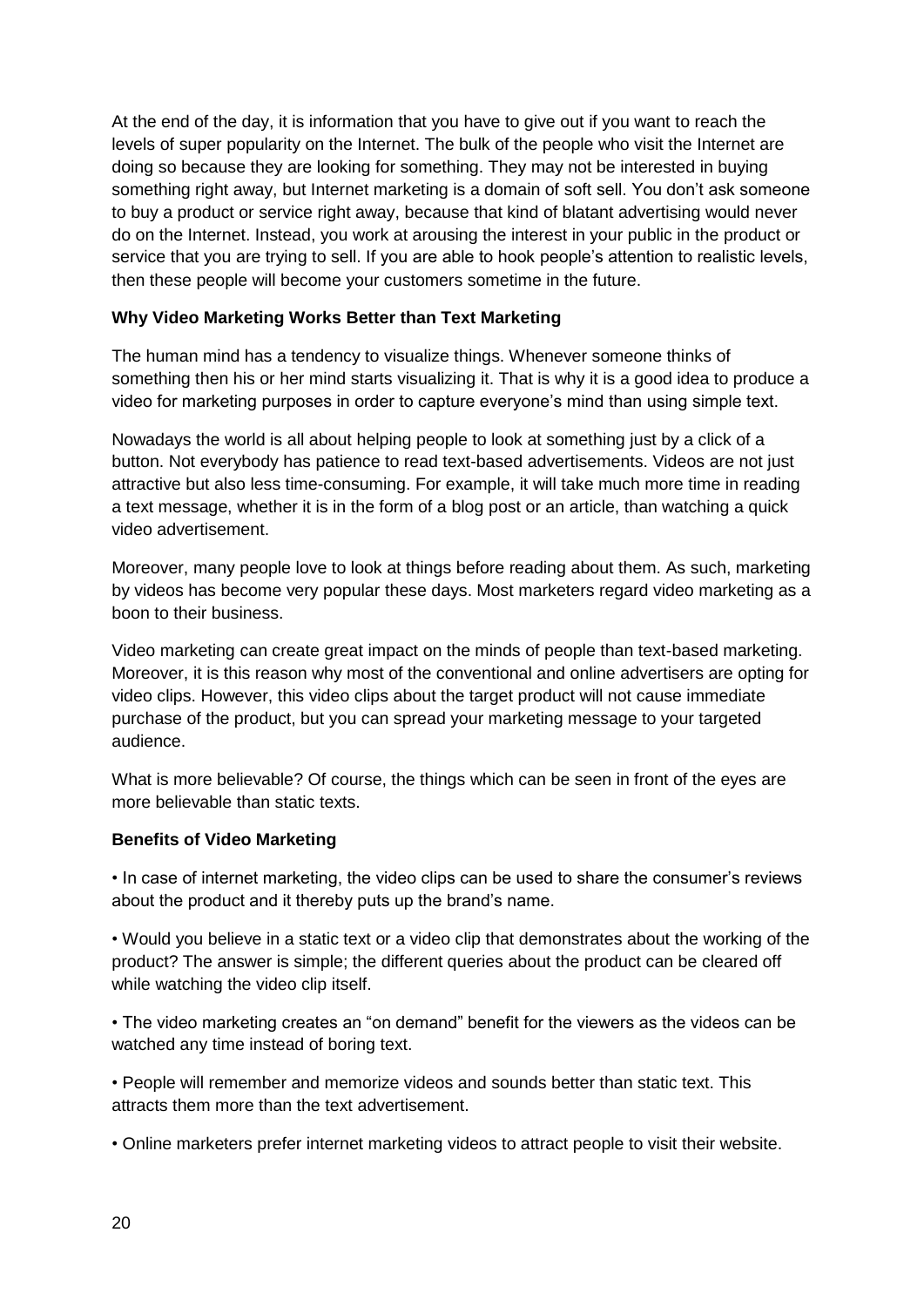At the end of the day, it is information that you have to give out if you want to reach the levels of super popularity on the Internet. The bulk of the people who visit the Internet are doing so because they are looking for something. They may not be interested in buying something right away, but Internet marketing is a domain of soft sell. You don't ask someone to buy a product or service right away, because that kind of blatant advertising would never do on the Internet. Instead, you work at arousing the interest in your public in the product or service that you are trying to sell. If you are able to hook people's attention to realistic levels, then these people will become your customers sometime in the future.

#### **Why Video Marketing Works Better than Text Marketing**

The human mind has a tendency to visualize things. Whenever someone thinks of something then his or her mind starts visualizing it. That is why it is a good idea to produce a video for marketing purposes in order to capture everyone's mind than using simple text.

Nowadays the world is all about helping people to look at something just by a click of a button. Not everybody has patience to read text-based advertisements. Videos are not just attractive but also less time-consuming. For example, it will take much more time in reading a text message, whether it is in the form of a blog post or an article, than watching a quick video advertisement.

Moreover, many people love to look at things before reading about them. As such, marketing by videos has become very popular these days. Most marketers regard video marketing as a boon to their business.

Video marketing can create great impact on the minds of people than text-based marketing. Moreover, it is this reason why most of the conventional and online advertisers are opting for video clips. However, this video clips about the target product will not cause immediate purchase of the product, but you can spread your marketing message to your targeted audience.

What is more believable? Of course, the things which can be seen in front of the eyes are more believable than static texts.

#### **Benefits of Video Marketing**

• In case of internet marketing, the video clips can be used to share the consumer's reviews about the product and it thereby puts up the brand's name.

• Would you believe in a static text or a video clip that demonstrates about the working of the product? The answer is simple; the different queries about the product can be cleared off while watching the video clip itself.

• The video marketing creates an "on demand" benefit for the viewers as the videos can be watched any time instead of boring text.

• People will remember and memorize videos and sounds better than static text. This attracts them more than the text advertisement.

• Online marketers prefer internet marketing videos to attract people to visit their website.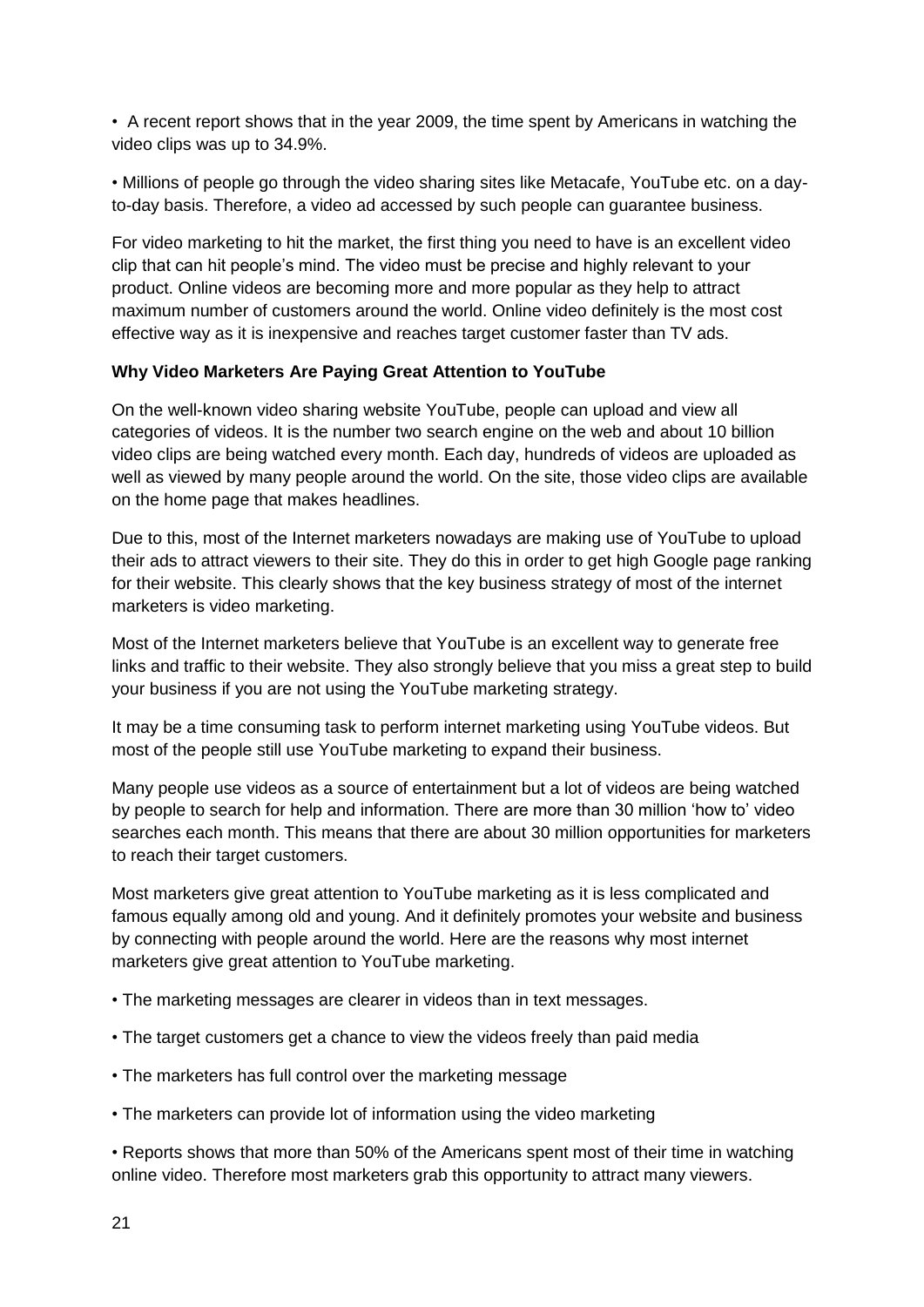• A recent report shows that in the year 2009, the time spent by Americans in watching the video clips was up to 34.9%.

• Millions of people go through the video sharing sites like Metacafe, YouTube etc. on a dayto-day basis. Therefore, a video ad accessed by such people can guarantee business.

For video marketing to hit the market, the first thing you need to have is an excellent video clip that can hit people's mind. The video must be precise and highly relevant to your product. Online videos are becoming more and more popular as they help to attract maximum number of customers around the world. Online video definitely is the most cost effective way as it is inexpensive and reaches target customer faster than TV ads.

#### **Why Video Marketers Are Paying Great Attention to YouTube**

On the well-known video sharing website YouTube, people can upload and view all categories of videos. It is the number two search engine on the web and about 10 billion video clips are being watched every month. Each day, hundreds of videos are uploaded as well as viewed by many people around the world. On the site, those video clips are available on the home page that makes headlines.

Due to this, most of the Internet marketers nowadays are making use of YouTube to upload their ads to attract viewers to their site. They do this in order to get high Google page ranking for their website. This clearly shows that the key business strategy of most of the internet marketers is video marketing.

Most of the Internet marketers believe that YouTube is an excellent way to generate free links and traffic to their website. They also strongly believe that you miss a great step to build your business if you are not using the YouTube marketing strategy.

It may be a time consuming task to perform internet marketing using YouTube videos. But most of the people still use YouTube marketing to expand their business.

Many people use videos as a source of entertainment but a lot of videos are being watched by people to search for help and information. There are more than 30 million 'how to' video searches each month. This means that there are about 30 million opportunities for marketers to reach their target customers.

Most marketers give great attention to YouTube marketing as it is less complicated and famous equally among old and young. And it definitely promotes your website and business by connecting with people around the world. Here are the reasons why most internet marketers give great attention to YouTube marketing.

- The marketing messages are clearer in videos than in text messages.
- The target customers get a chance to view the videos freely than paid media
- The marketers has full control over the marketing message
- The marketers can provide lot of information using the video marketing

• Reports shows that more than 50% of the Americans spent most of their time in watching online video. Therefore most marketers grab this opportunity to attract many viewers.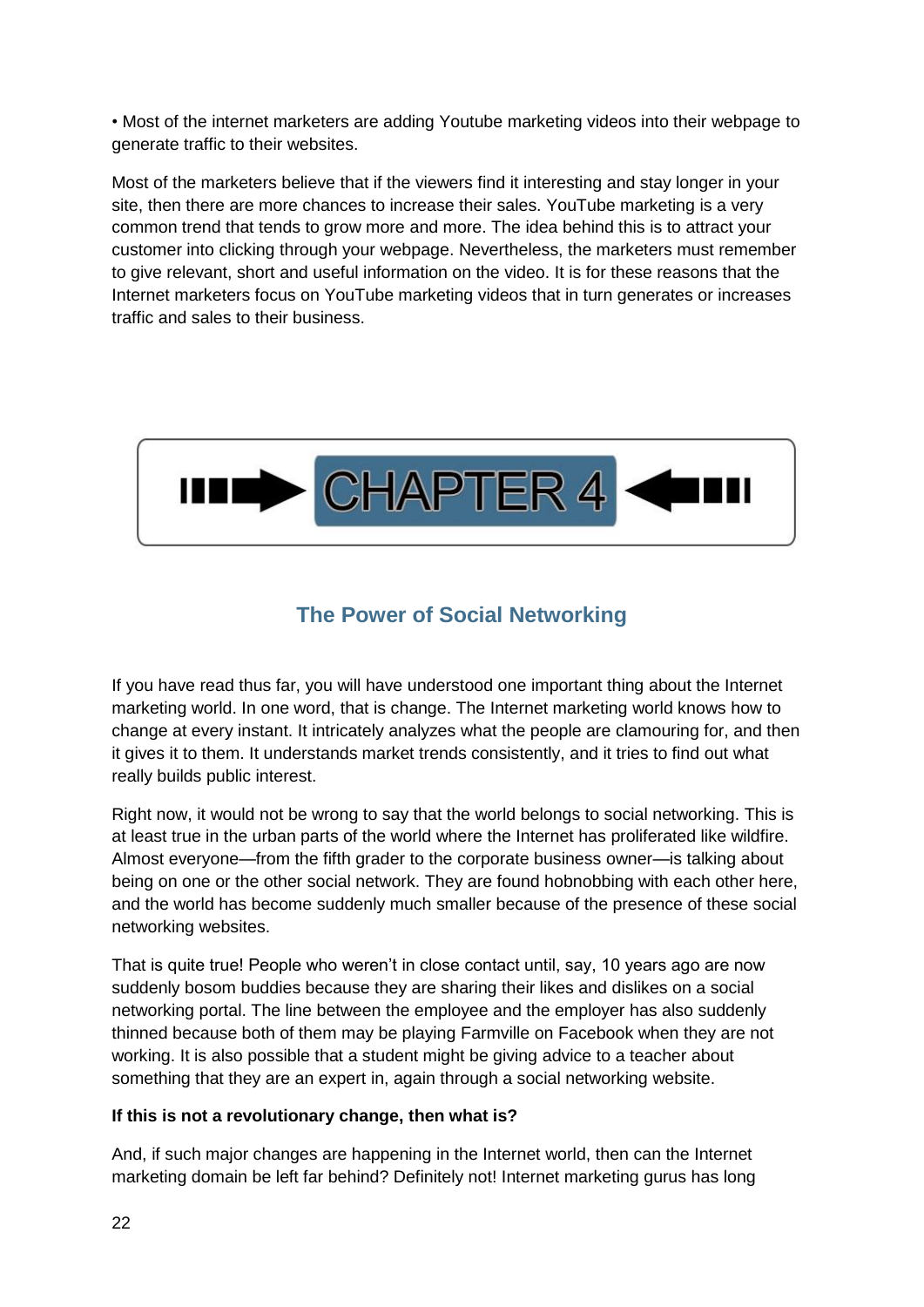• Most of the internet marketers are adding Youtube marketing videos into their webpage to generate traffic to their websites.

Most of the marketers believe that if the viewers find it interesting and stay longer in your site, then there are more chances to increase their sales. YouTube marketing is a very common trend that tends to grow more and more. The idea behind this is to attract your customer into clicking through your webpage. Nevertheless, the marketers must remember to give relevant, short and useful information on the video. It is for these reasons that the Internet marketers focus on YouTube marketing videos that in turn generates or increases traffic and sales to their business.



# **The Power of Social Networking**

<span id="page-21-0"></span>If you have read thus far, you will have understood one important thing about the Internet marketing world. In one word, that is change. The Internet marketing world knows how to change at every instant. It intricately analyzes what the people are clamouring for, and then it gives it to them. It understands market trends consistently, and it tries to find out what really builds public interest.

Right now, it would not be wrong to say that the world belongs to social networking. This is at least true in the urban parts of the world where the Internet has proliferated like wildfire. Almost everyone—from the fifth grader to the corporate business owner—is talking about being on one or the other social network. They are found hobnobbing with each other here, and the world has become suddenly much smaller because of the presence of these social networking websites.

That is quite true! People who weren't in close contact until, say, 10 years ago are now suddenly bosom buddies because they are sharing their likes and dislikes on a social networking portal. The line between the employee and the employer has also suddenly thinned because both of them may be playing Farmville on Facebook when they are not working. It is also possible that a student might be giving advice to a teacher about something that they are an expert in, again through a social networking website.

#### **If this is not a revolutionary change, then what is?**

And, if such major changes are happening in the Internet world, then can the Internet marketing domain be left far behind? Definitely not! Internet marketing gurus has long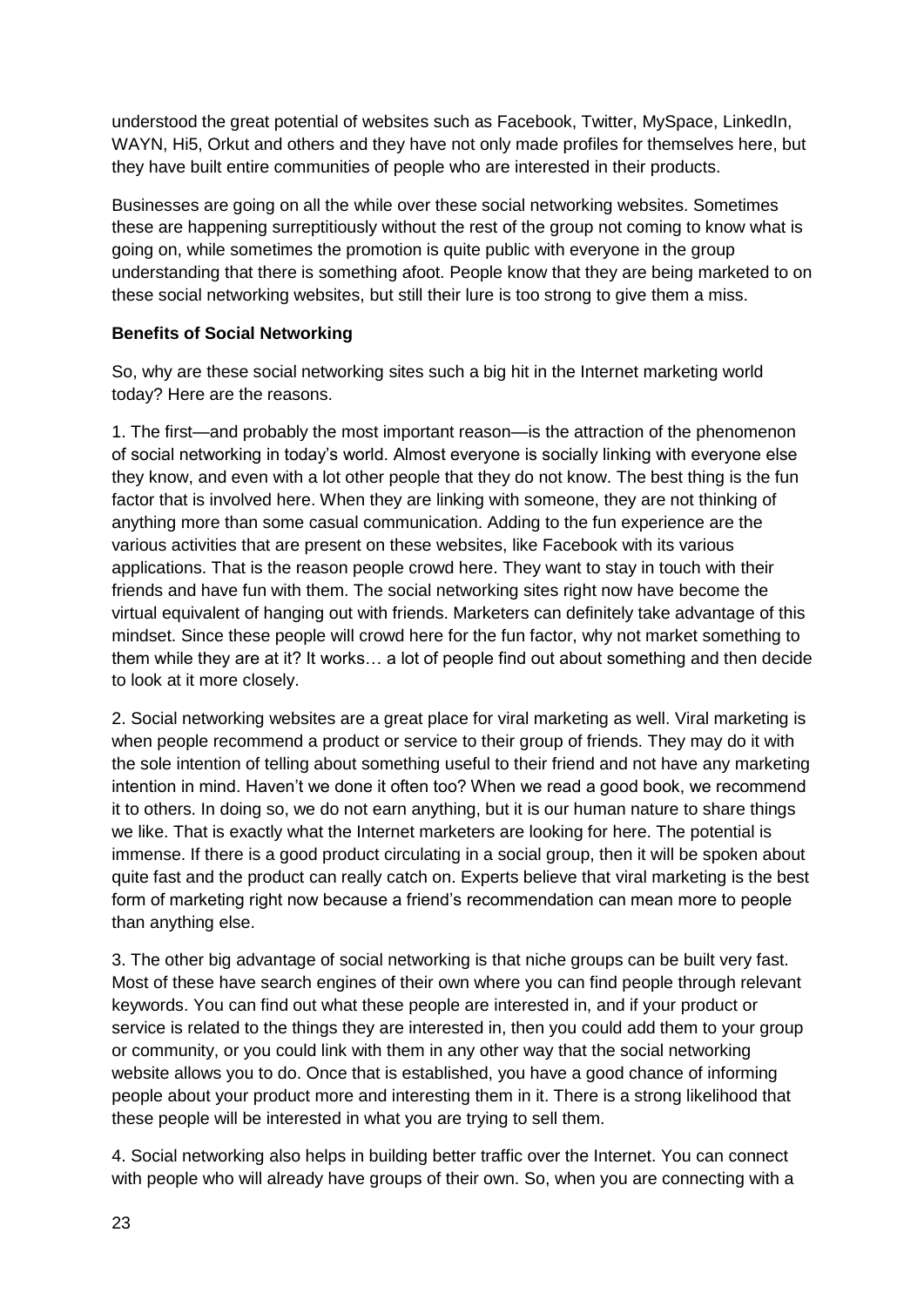understood the great potential of websites such as Facebook, Twitter, MySpace, LinkedIn, WAYN, Hi5, Orkut and others and they have not only made profiles for themselves here, but they have built entire communities of people who are interested in their products.

Businesses are going on all the while over these social networking websites. Sometimes these are happening surreptitiously without the rest of the group not coming to know what is going on, while sometimes the promotion is quite public with everyone in the group understanding that there is something afoot. People know that they are being marketed to on these social networking websites, but still their lure is too strong to give them a miss.

#### **Benefits of Social Networking**

So, why are these social networking sites such a big hit in the Internet marketing world today? Here are the reasons.

1. The first—and probably the most important reason—is the attraction of the phenomenon of social networking in today's world. Almost everyone is socially linking with everyone else they know, and even with a lot other people that they do not know. The best thing is the fun factor that is involved here. When they are linking with someone, they are not thinking of anything more than some casual communication. Adding to the fun experience are the various activities that are present on these websites, like Facebook with its various applications. That is the reason people crowd here. They want to stay in touch with their friends and have fun with them. The social networking sites right now have become the virtual equivalent of hanging out with friends. Marketers can definitely take advantage of this mindset. Since these people will crowd here for the fun factor, why not market something to them while they are at it? It works… a lot of people find out about something and then decide to look at it more closely.

2. Social networking websites are a great place for viral marketing as well. Viral marketing is when people recommend a product or service to their group of friends. They may do it with the sole intention of telling about something useful to their friend and not have any marketing intention in mind. Haven't we done it often too? When we read a good book, we recommend it to others. In doing so, we do not earn anything, but it is our human nature to share things we like. That is exactly what the Internet marketers are looking for here. The potential is immense. If there is a good product circulating in a social group, then it will be spoken about quite fast and the product can really catch on. Experts believe that viral marketing is the best form of marketing right now because a friend's recommendation can mean more to people than anything else.

3. The other big advantage of social networking is that niche groups can be built very fast. Most of these have search engines of their own where you can find people through relevant keywords. You can find out what these people are interested in, and if your product or service is related to the things they are interested in, then you could add them to your group or community, or you could link with them in any other way that the social networking website allows you to do. Once that is established, you have a good chance of informing people about your product more and interesting them in it. There is a strong likelihood that these people will be interested in what you are trying to sell them.

4. Social networking also helps in building better traffic over the Internet. You can connect with people who will already have groups of their own. So, when you are connecting with a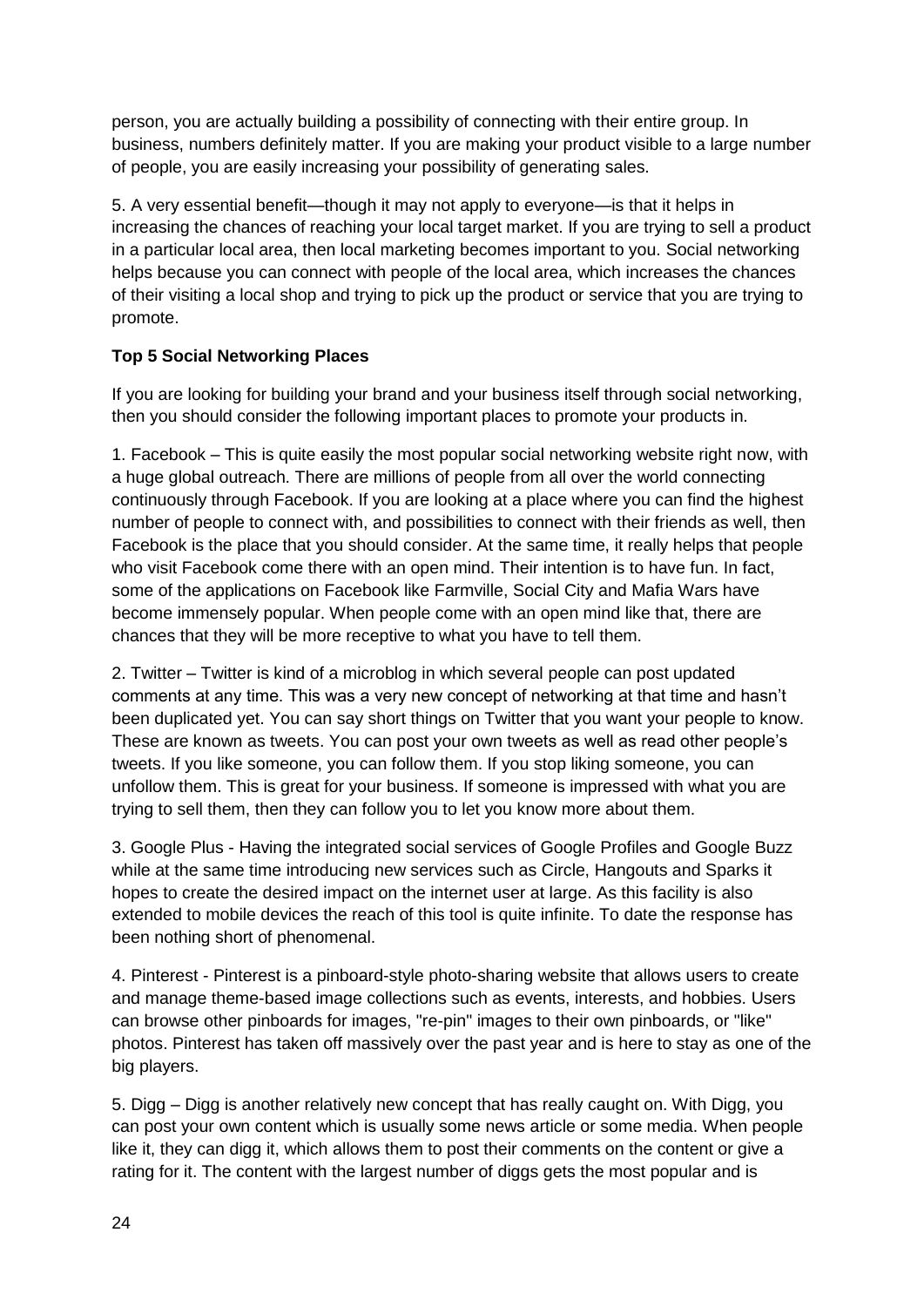person, you are actually building a possibility of connecting with their entire group. In business, numbers definitely matter. If you are making your product visible to a large number of people, you are easily increasing your possibility of generating sales.

5. A very essential benefit—though it may not apply to everyone—is that it helps in increasing the chances of reaching your local target market. If you are trying to sell a product in a particular local area, then local marketing becomes important to you. Social networking helps because you can connect with people of the local area, which increases the chances of their visiting a local shop and trying to pick up the product or service that you are trying to promote.

#### **Top 5 Social Networking Places**

If you are looking for building your brand and your business itself through social networking, then you should consider the following important places to promote your products in.

1. Facebook – This is quite easily the most popular social networking website right now, with a huge global outreach. There are millions of people from all over the world connecting continuously through Facebook. If you are looking at a place where you can find the highest number of people to connect with, and possibilities to connect with their friends as well, then Facebook is the place that you should consider. At the same time, it really helps that people who visit Facebook come there with an open mind. Their intention is to have fun. In fact, some of the applications on Facebook like Farmville, Social City and Mafia Wars have become immensely popular. When people come with an open mind like that, there are chances that they will be more receptive to what you have to tell them.

2. Twitter – Twitter is kind of a microblog in which several people can post updated comments at any time. This was a very new concept of networking at that time and hasn't been duplicated yet. You can say short things on Twitter that you want your people to know. These are known as tweets. You can post your own tweets as well as read other people's tweets. If you like someone, you can follow them. If you stop liking someone, you can unfollow them. This is great for your business. If someone is impressed with what you are trying to sell them, then they can follow you to let you know more about them.

3. Google Plus - Having the integrated social services of Google Profiles and Google Buzz while at the same time introducing new services such as Circle, Hangouts and Sparks it hopes to create the desired impact on the internet user at large. As this facility is also extended to mobile devices the reach of this tool is quite infinite. To date the response has been nothing short of phenomenal.

4. Pinterest - Pinterest is a pinboard-style photo-sharing website that allows users to create and manage theme-based image collections such as events, interests, and hobbies. Users can browse other pinboards for images, "re-pin" images to their own pinboards, or "like" photos. Pinterest has taken off massively over the past year and is here to stay as one of the big players.

5. Digg – Digg is another relatively new concept that has really caught on. With Digg, you can post your own content which is usually some news article or some media. When people like it, they can digg it, which allows them to post their comments on the content or give a rating for it. The content with the largest number of diggs gets the most popular and is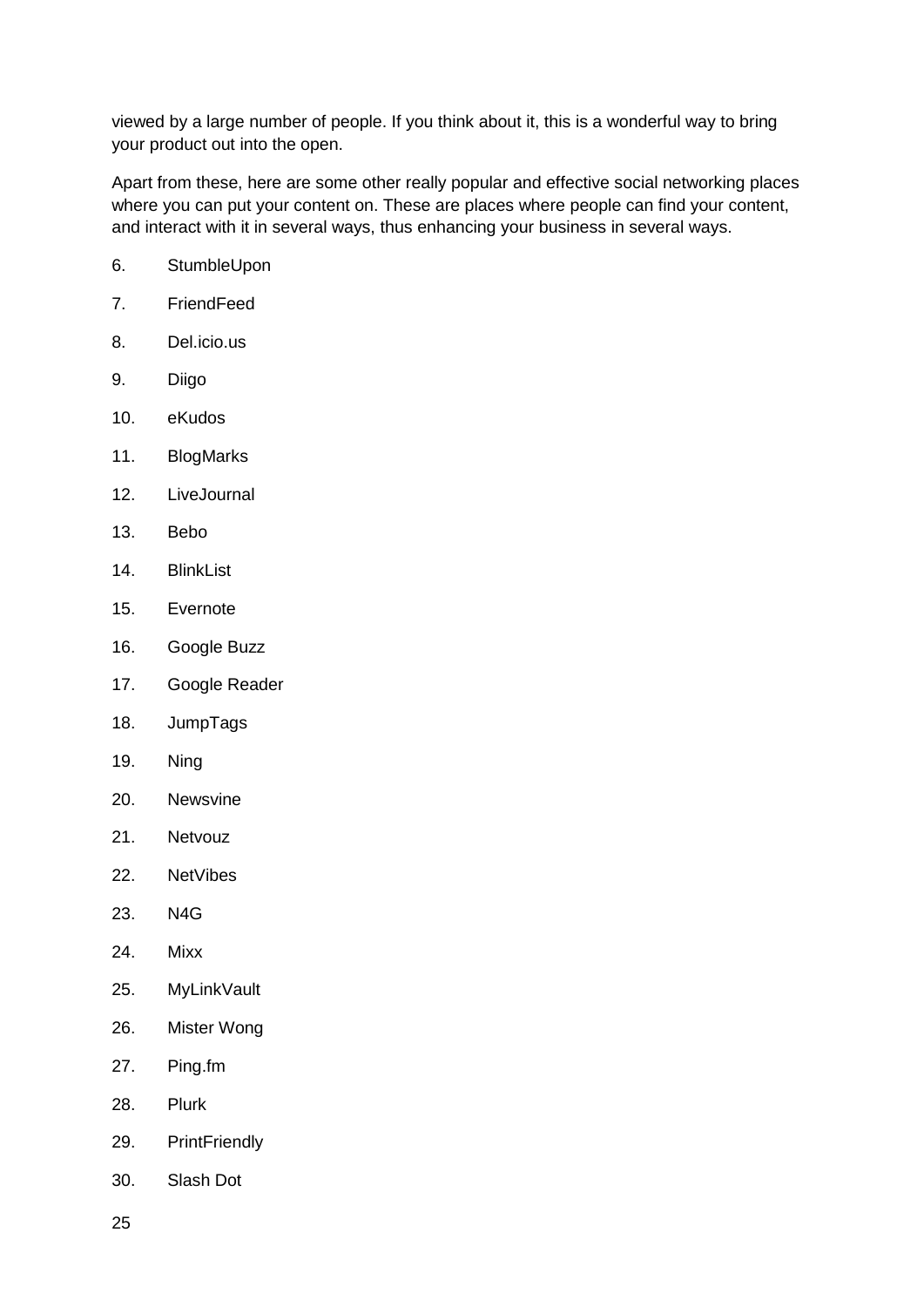viewed by a large number of people. If you think about it, this is a wonderful way to bring your product out into the open.

Apart from these, here are some other really popular and effective social networking places where you can put your content on. These are places where people can find your content, and interact with it in several ways, thus enhancing your business in several ways.

- 6. StumbleUpon
- 7. FriendFeed
- 8. Del.icio.us
- 9. Diigo
- 10. eKudos
- 11. BlogMarks
- 12. LiveJournal
- 13. Bebo
- 14. BlinkList
- 15. Evernote
- 16. Google Buzz
- 17. Google Reader
- 18. JumpTags
- 19. Ning
- 20. Newsvine
- 21. Netvouz
- 22. NetVibes
- 23. N4G
- 24. Mixx
- 25. MyLinkVault
- 26. Mister Wong
- 27. Ping.fm
- 28. Plurk
- 29. PrintFriendly
- 30. Slash Dot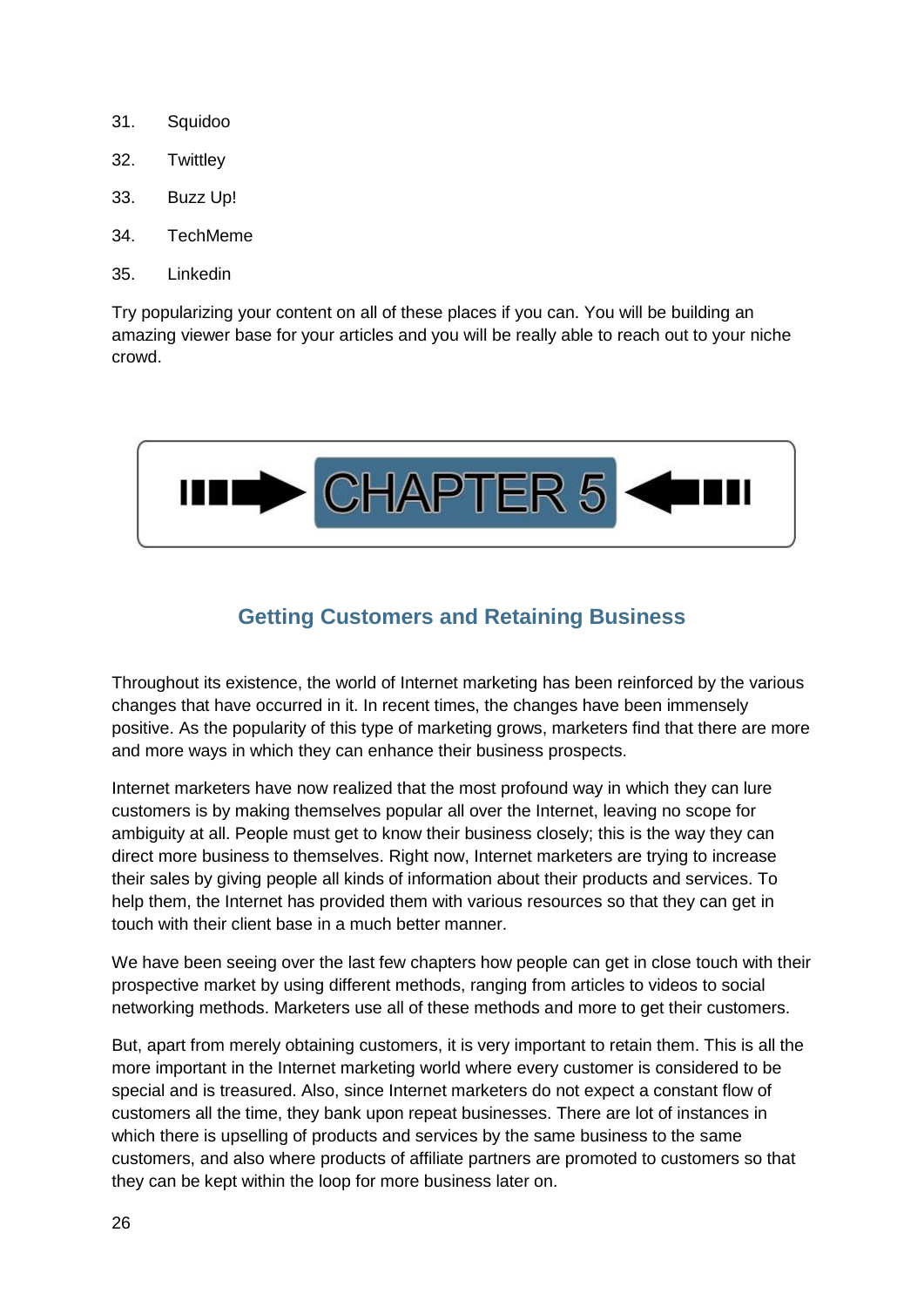- 31. Squidoo
- 32. Twittley
- 33. Buzz Up!
- 34. TechMeme
- 35. Linkedin

Try popularizing your content on all of these places if you can. You will be building an amazing viewer base for your articles and you will be really able to reach out to your niche crowd.



# **Getting Customers and Retaining Business**

<span id="page-25-0"></span>Throughout its existence, the world of Internet marketing has been reinforced by the various changes that have occurred in it. In recent times, the changes have been immensely positive. As the popularity of this type of marketing grows, marketers find that there are more and more ways in which they can enhance their business prospects.

Internet marketers have now realized that the most profound way in which they can lure customers is by making themselves popular all over the Internet, leaving no scope for ambiguity at all. People must get to know their business closely; this is the way they can direct more business to themselves. Right now, Internet marketers are trying to increase their sales by giving people all kinds of information about their products and services. To help them, the Internet has provided them with various resources so that they can get in touch with their client base in a much better manner.

We have been seeing over the last few chapters how people can get in close touch with their prospective market by using different methods, ranging from articles to videos to social networking methods. Marketers use all of these methods and more to get their customers.

But, apart from merely obtaining customers, it is very important to retain them. This is all the more important in the Internet marketing world where every customer is considered to be special and is treasured. Also, since Internet marketers do not expect a constant flow of customers all the time, they bank upon repeat businesses. There are lot of instances in which there is upselling of products and services by the same business to the same customers, and also where products of affiliate partners are promoted to customers so that they can be kept within the loop for more business later on.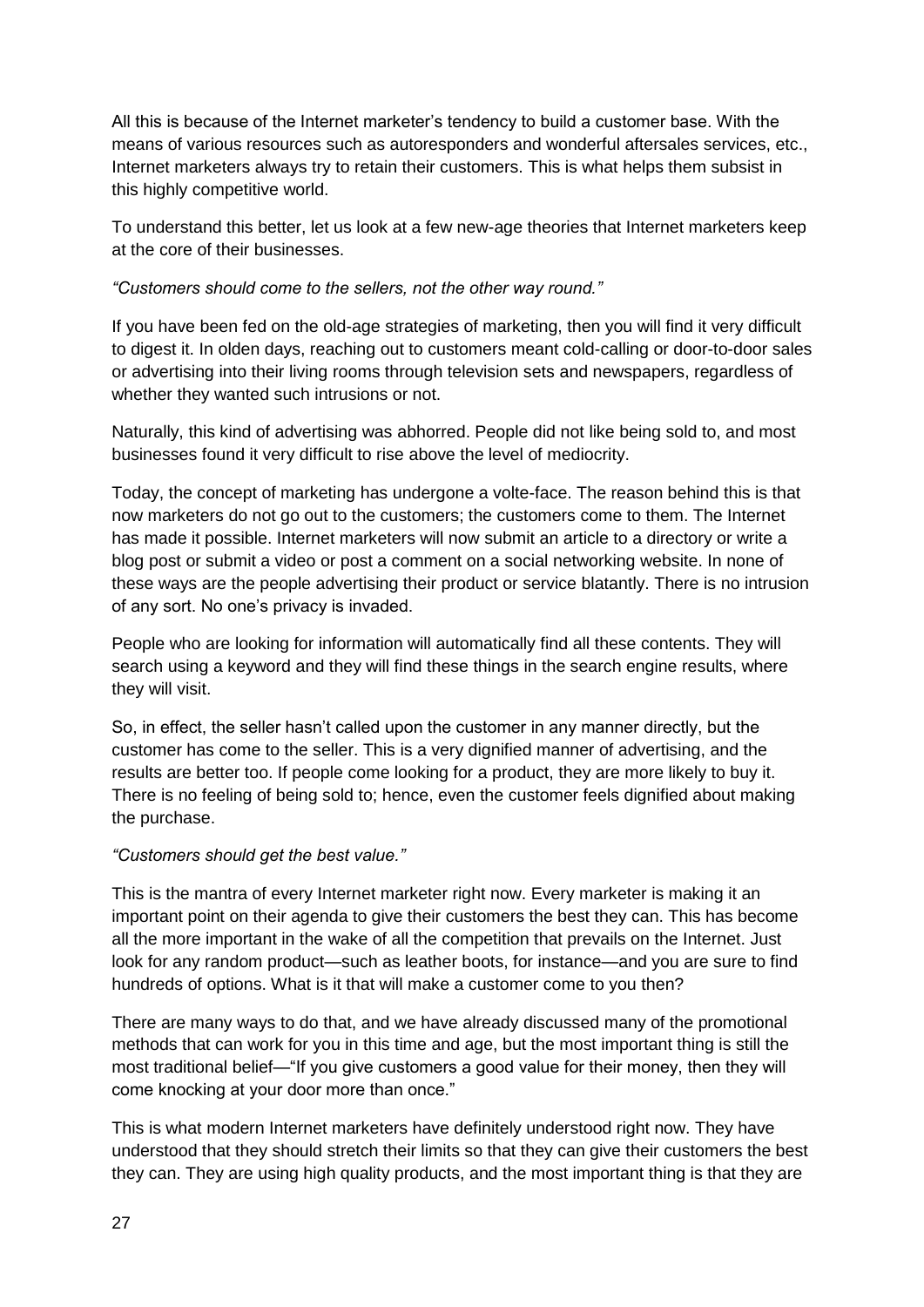All this is because of the Internet marketer's tendency to build a customer base. With the means of various resources such as autoresponders and wonderful aftersales services, etc., Internet marketers always try to retain their customers. This is what helps them subsist in this highly competitive world.

To understand this better, let us look at a few new-age theories that Internet marketers keep at the core of their businesses.

*"Customers should come to the sellers, not the other way round."*

If you have been fed on the old-age strategies of marketing, then you will find it very difficult to digest it. In olden days, reaching out to customers meant cold-calling or door-to-door sales or advertising into their living rooms through television sets and newspapers, regardless of whether they wanted such intrusions or not.

Naturally, this kind of advertising was abhorred. People did not like being sold to, and most businesses found it very difficult to rise above the level of mediocrity.

Today, the concept of marketing has undergone a volte-face. The reason behind this is that now marketers do not go out to the customers; the customers come to them. The Internet has made it possible. Internet marketers will now submit an article to a directory or write a blog post or submit a video or post a comment on a social networking website. In none of these ways are the people advertising their product or service blatantly. There is no intrusion of any sort. No one's privacy is invaded.

People who are looking for information will automatically find all these contents. They will search using a keyword and they will find these things in the search engine results, where they will visit.

So, in effect, the seller hasn't called upon the customer in any manner directly, but the customer has come to the seller. This is a very dignified manner of advertising, and the results are better too. If people come looking for a product, they are more likely to buy it. There is no feeling of being sold to; hence, even the customer feels dignified about making the purchase.

#### *"Customers should get the best value."*

This is the mantra of every Internet marketer right now. Every marketer is making it an important point on their agenda to give their customers the best they can. This has become all the more important in the wake of all the competition that prevails on the Internet. Just look for any random product—such as leather boots, for instance—and you are sure to find hundreds of options. What is it that will make a customer come to you then?

There are many ways to do that, and we have already discussed many of the promotional methods that can work for you in this time and age, but the most important thing is still the most traditional belief—"If you give customers a good value for their money, then they will come knocking at your door more than once."

This is what modern Internet marketers have definitely understood right now. They have understood that they should stretch their limits so that they can give their customers the best they can. They are using high quality products, and the most important thing is that they are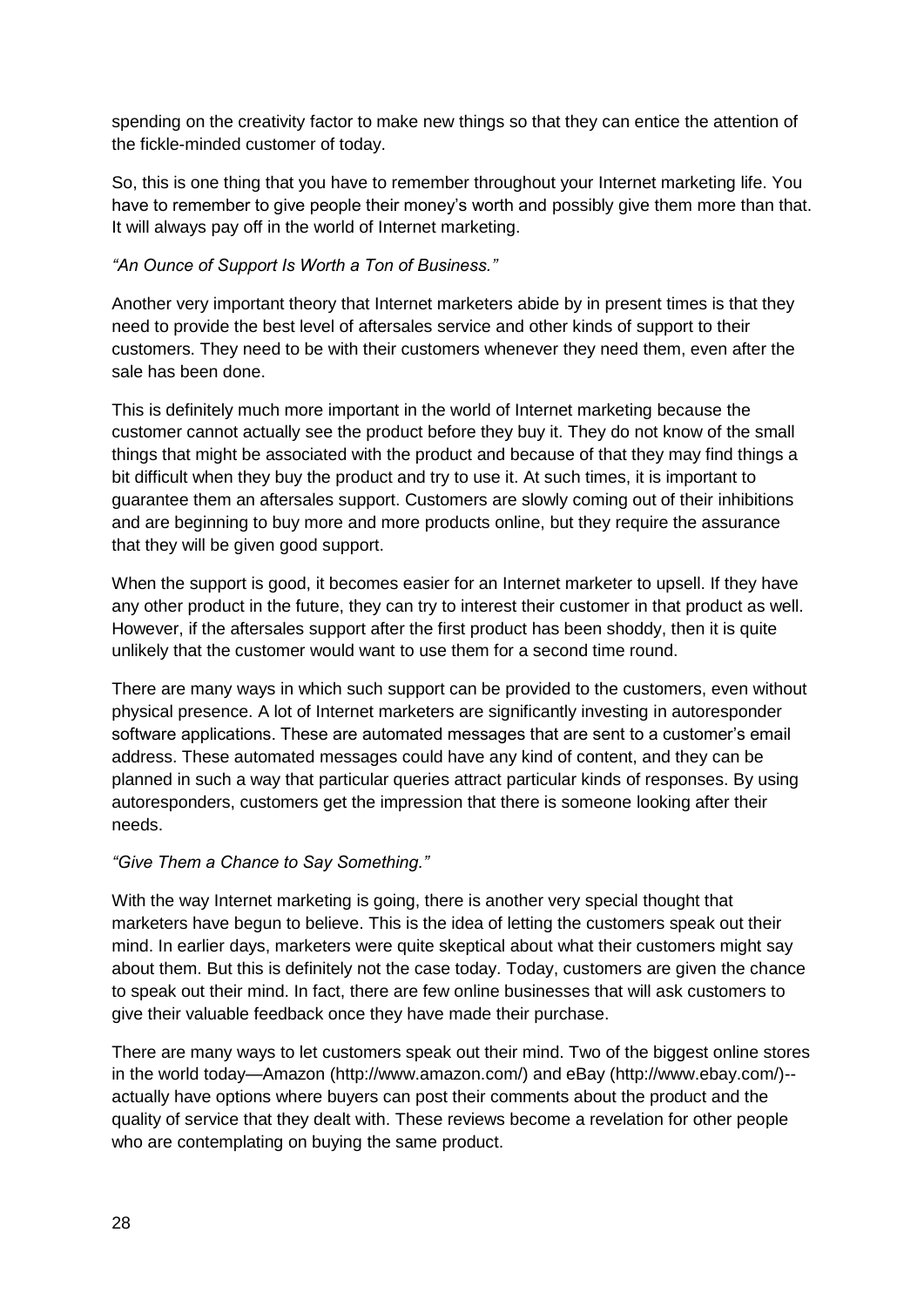spending on the creativity factor to make new things so that they can entice the attention of the fickle-minded customer of today.

So, this is one thing that you have to remember throughout your Internet marketing life. You have to remember to give people their money's worth and possibly give them more than that. It will always pay off in the world of Internet marketing.

#### *"An Ounce of Support Is Worth a Ton of Business."*

Another very important theory that Internet marketers abide by in present times is that they need to provide the best level of aftersales service and other kinds of support to their customers. They need to be with their customers whenever they need them, even after the sale has been done.

This is definitely much more important in the world of Internet marketing because the customer cannot actually see the product before they buy it. They do not know of the small things that might be associated with the product and because of that they may find things a bit difficult when they buy the product and try to use it. At such times, it is important to guarantee them an aftersales support. Customers are slowly coming out of their inhibitions and are beginning to buy more and more products online, but they require the assurance that they will be given good support.

When the support is good, it becomes easier for an Internet marketer to upsell. If they have any other product in the future, they can try to interest their customer in that product as well. However, if the aftersales support after the first product has been shoddy, then it is quite unlikely that the customer would want to use them for a second time round.

There are many ways in which such support can be provided to the customers, even without physical presence. A lot of Internet marketers are significantly investing in autoresponder software applications. These are automated messages that are sent to a customer's email address. These automated messages could have any kind of content, and they can be planned in such a way that particular queries attract particular kinds of responses. By using autoresponders, customers get the impression that there is someone looking after their needs.

#### *"Give Them a Chance to Say Something."*

With the way Internet marketing is going, there is another very special thought that marketers have begun to believe. This is the idea of letting the customers speak out their mind. In earlier days, marketers were quite skeptical about what their customers might say about them. But this is definitely not the case today. Today, customers are given the chance to speak out their mind. In fact, there are few online businesses that will ask customers to give their valuable feedback once they have made their purchase.

There are many ways to let customers speak out their mind. Two of the biggest online stores in the world today—Amazon (http://www.amazon.com/) and eBay (http://www.ebay.com/)- actually have options where buyers can post their comments about the product and the quality of service that they dealt with. These reviews become a revelation for other people who are contemplating on buying the same product.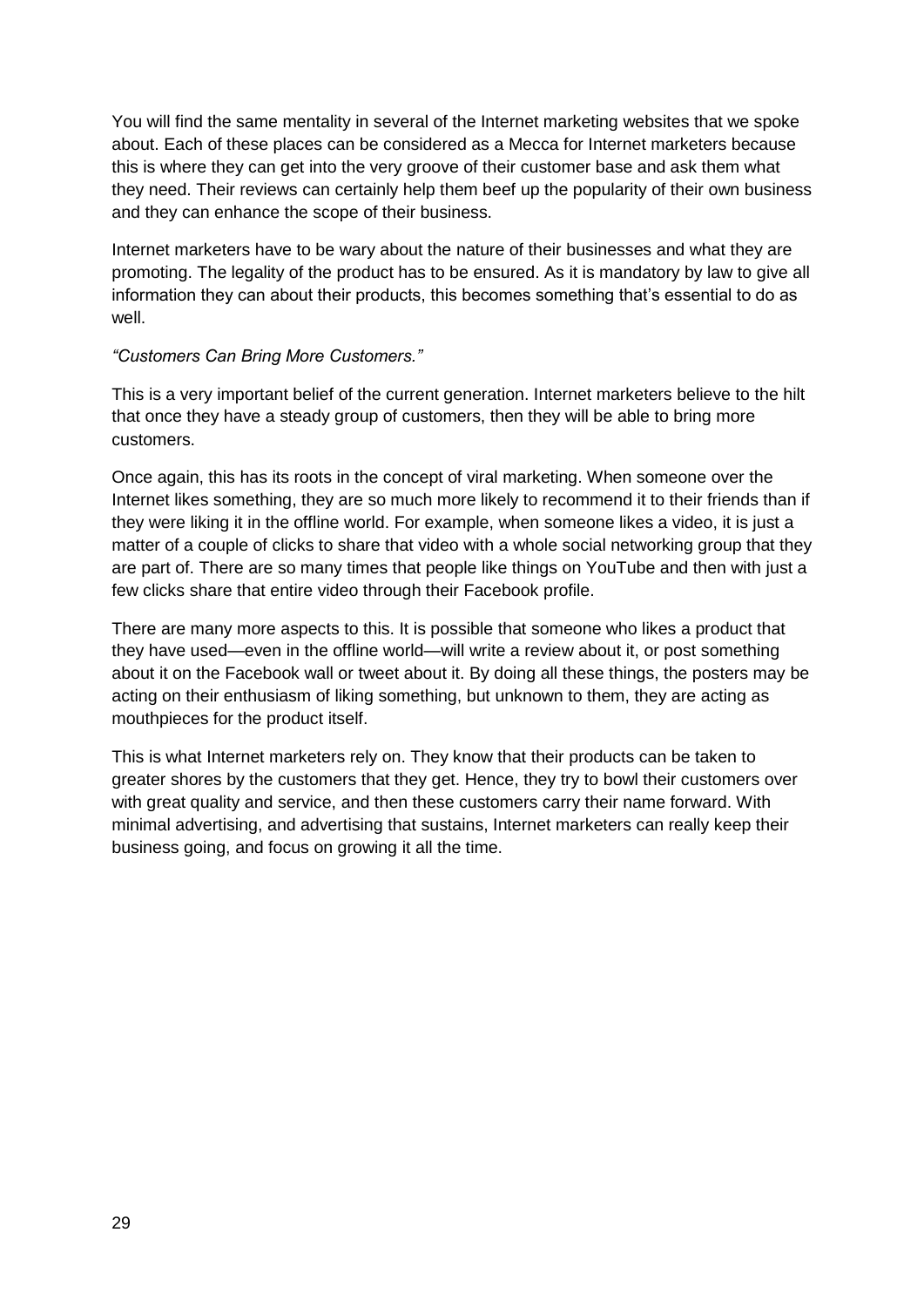You will find the same mentality in several of the Internet marketing websites that we spoke about. Each of these places can be considered as a Mecca for Internet marketers because this is where they can get into the very groove of their customer base and ask them what they need. Their reviews can certainly help them beef up the popularity of their own business and they can enhance the scope of their business.

Internet marketers have to be wary about the nature of their businesses and what they are promoting. The legality of the product has to be ensured. As it is mandatory by law to give all information they can about their products, this becomes something that's essential to do as well.

#### *"Customers Can Bring More Customers."*

This is a very important belief of the current generation. Internet marketers believe to the hilt that once they have a steady group of customers, then they will be able to bring more customers.

Once again, this has its roots in the concept of viral marketing. When someone over the Internet likes something, they are so much more likely to recommend it to their friends than if they were liking it in the offline world. For example, when someone likes a video, it is just a matter of a couple of clicks to share that video with a whole social networking group that they are part of. There are so many times that people like things on YouTube and then with just a few clicks share that entire video through their Facebook profile.

There are many more aspects to this. It is possible that someone who likes a product that they have used—even in the offline world—will write a review about it, or post something about it on the Facebook wall or tweet about it. By doing all these things, the posters may be acting on their enthusiasm of liking something, but unknown to them, they are acting as mouthpieces for the product itself.

This is what Internet marketers rely on. They know that their products can be taken to greater shores by the customers that they get. Hence, they try to bowl their customers over with great quality and service, and then these customers carry their name forward. With minimal advertising, and advertising that sustains, Internet marketers can really keep their business going, and focus on growing it all the time.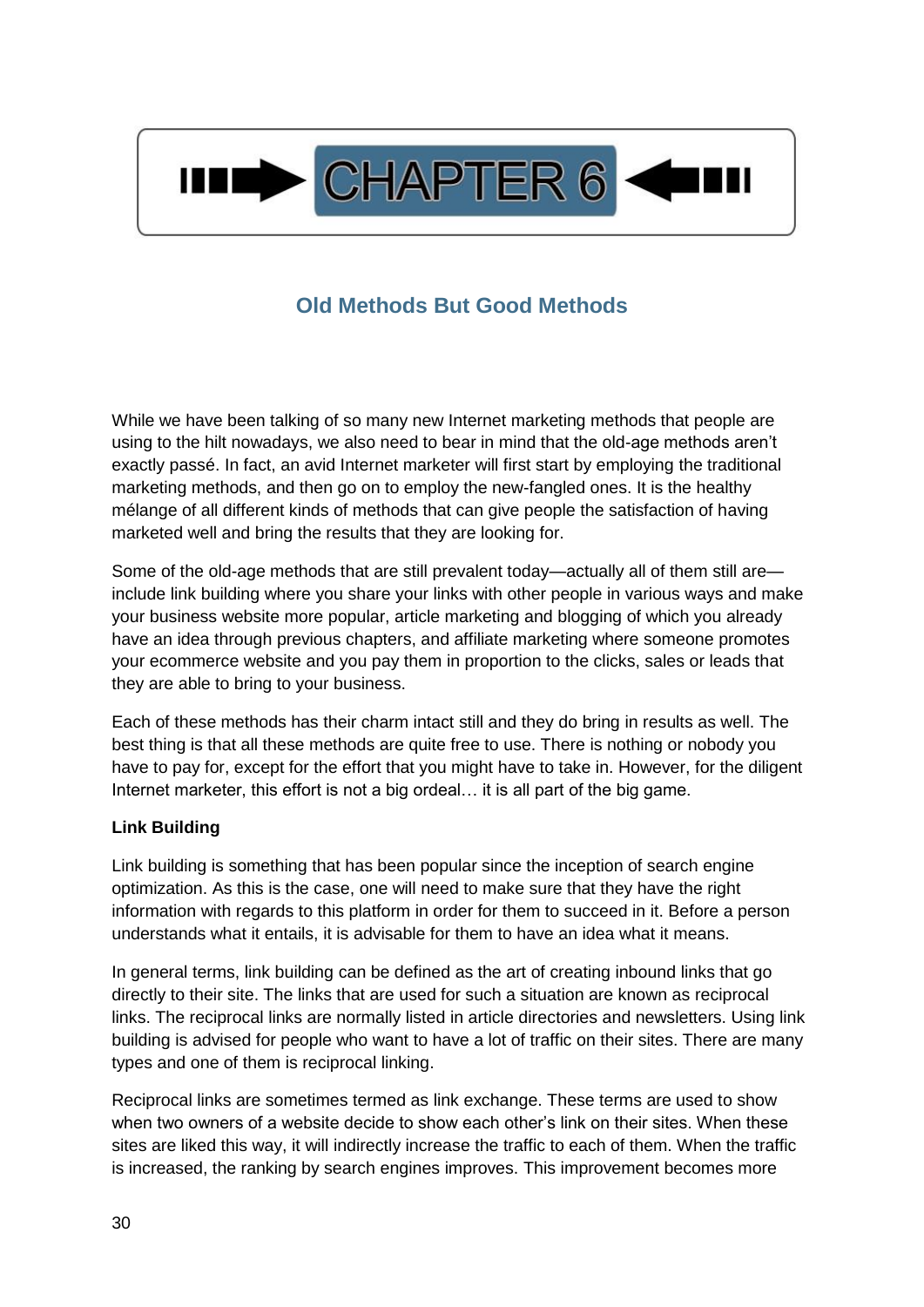

# **Old Methods But Good Methods**

<span id="page-29-0"></span>While we have been talking of so many new Internet marketing methods that people are using to the hilt nowadays, we also need to bear in mind that the old-age methods aren't exactly passé. In fact, an avid Internet marketer will first start by employing the traditional marketing methods, and then go on to employ the new-fangled ones. It is the healthy mélange of all different kinds of methods that can give people the satisfaction of having marketed well and bring the results that they are looking for.

Some of the old-age methods that are still prevalent today—actually all of them still are include link building where you share your links with other people in various ways and make your business website more popular, article marketing and blogging of which you already have an idea through previous chapters, and affiliate marketing where someone promotes your ecommerce website and you pay them in proportion to the clicks, sales or leads that they are able to bring to your business.

Each of these methods has their charm intact still and they do bring in results as well. The best thing is that all these methods are quite free to use. There is nothing or nobody you have to pay for, except for the effort that you might have to take in. However, for the diligent Internet marketer, this effort is not a big ordeal… it is all part of the big game.

#### **Link Building**

Link building is something that has been popular since the inception of search engine optimization. As this is the case, one will need to make sure that they have the right information with regards to this platform in order for them to succeed in it. Before a person understands what it entails, it is advisable for them to have an idea what it means.

In general terms, link building can be defined as the art of creating inbound links that go directly to their site. The links that are used for such a situation are known as reciprocal links. The reciprocal links are normally listed in article directories and newsletters. Using link building is advised for people who want to have a lot of traffic on their sites. There are many types and one of them is reciprocal linking.

Reciprocal links are sometimes termed as link exchange. These terms are used to show when two owners of a website decide to show each other's link on their sites. When these sites are liked this way, it will indirectly increase the traffic to each of them. When the traffic is increased, the ranking by search engines improves. This improvement becomes more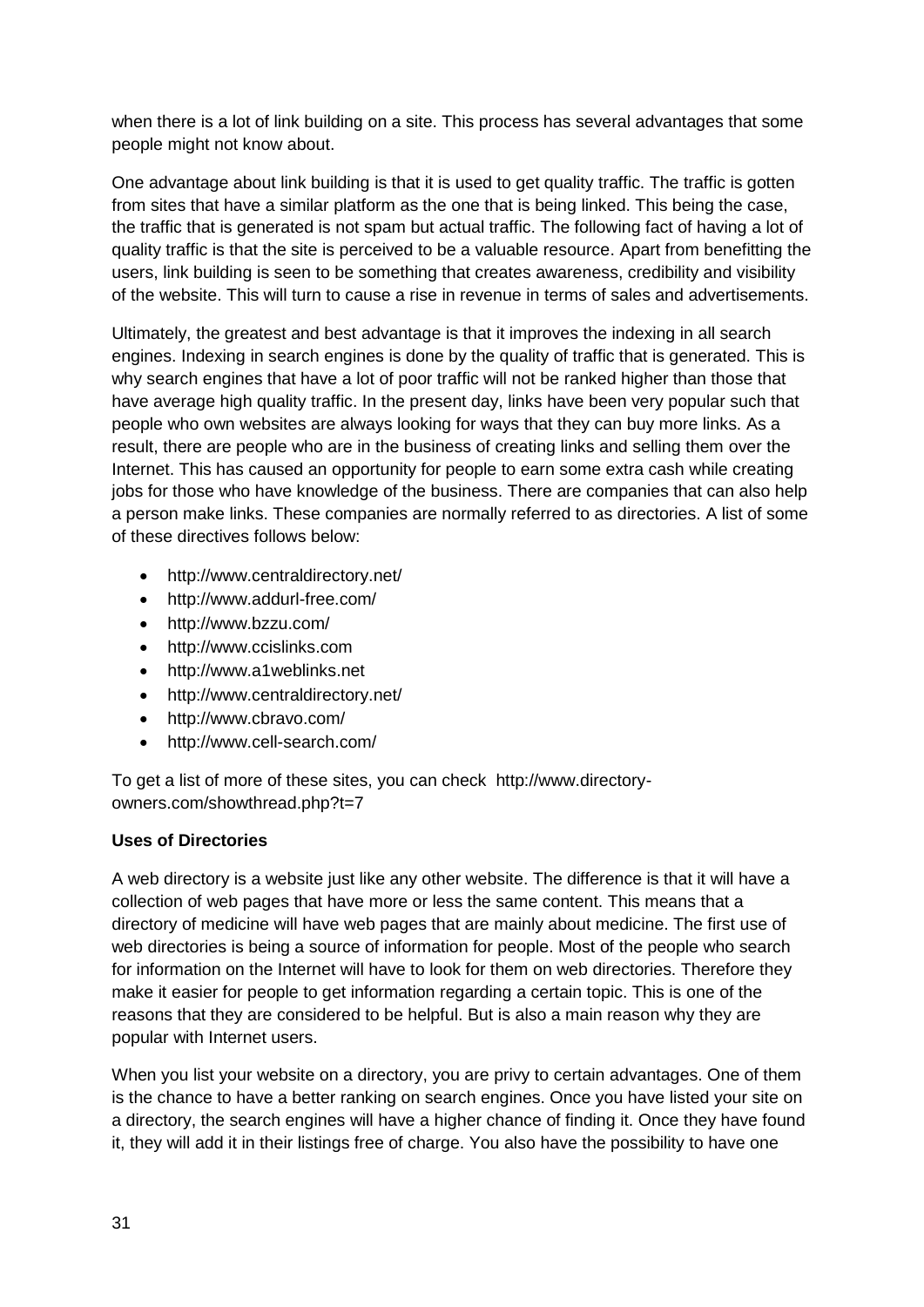when there is a lot of link building on a site. This process has several advantages that some people might not know about.

One advantage about link building is that it is used to get quality traffic. The traffic is gotten from sites that have a similar platform as the one that is being linked. This being the case, the traffic that is generated is not spam but actual traffic. The following fact of having a lot of quality traffic is that the site is perceived to be a valuable resource. Apart from benefitting the users, link building is seen to be something that creates awareness, credibility and visibility of the website. This will turn to cause a rise in revenue in terms of sales and advertisements.

Ultimately, the greatest and best advantage is that it improves the indexing in all search engines. Indexing in search engines is done by the quality of traffic that is generated. This is why search engines that have a lot of poor traffic will not be ranked higher than those that have average high quality traffic. In the present day, links have been very popular such that people who own websites are always looking for ways that they can buy more links. As a result, there are people who are in the business of creating links and selling them over the Internet. This has caused an opportunity for people to earn some extra cash while creating jobs for those who have knowledge of the business. There are companies that can also help a person make links. These companies are normally referred to as directories. A list of some of these directives follows below:

- http://www.centraldirectory.net/
- http://www.addurl-free.com/
- http://www.bzzu.com/
- http://www.ccislinks.com
- http://www.a1weblinks.net
- http://www.centraldirectory.net/
- http://www.cbravo.com/
- http://www.cell-search.com/

To get a list of more of these sites, you can check http://www.directoryowners.com/showthread.php?t=7

#### **Uses of Directories**

A web directory is a website just like any other website. The difference is that it will have a collection of web pages that have more or less the same content. This means that a directory of medicine will have web pages that are mainly about medicine. The first use of web directories is being a source of information for people. Most of the people who search for information on the Internet will have to look for them on web directories. Therefore they make it easier for people to get information regarding a certain topic. This is one of the reasons that they are considered to be helpful. But is also a main reason why they are popular with Internet users.

When you list your website on a directory, you are privy to certain advantages. One of them is the chance to have a better ranking on search engines. Once you have listed your site on a directory, the search engines will have a higher chance of finding it. Once they have found it, they will add it in their listings free of charge. You also have the possibility to have one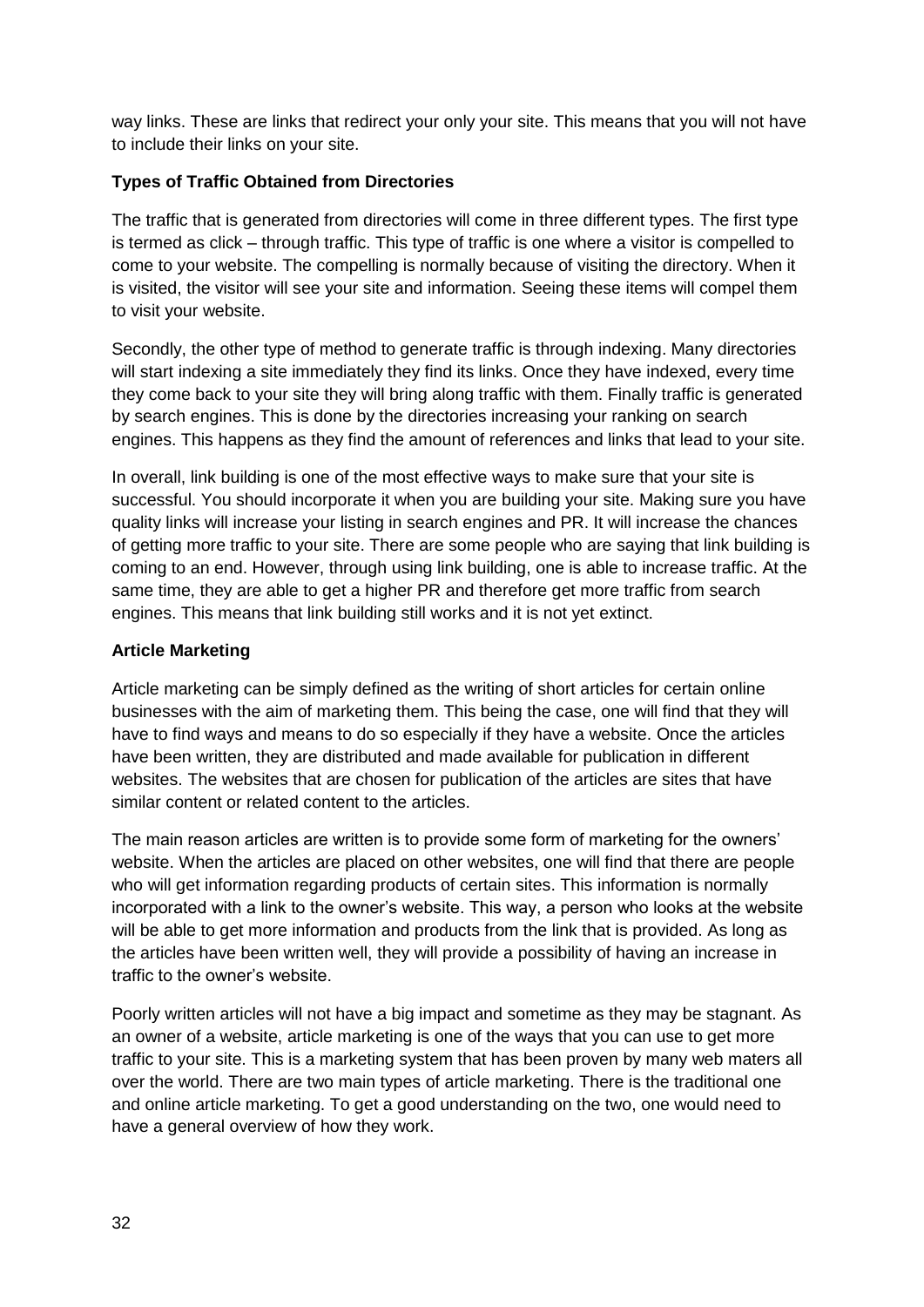way links. These are links that redirect your only your site. This means that you will not have to include their links on your site.

#### **Types of Traffic Obtained from Directories**

The traffic that is generated from directories will come in three different types. The first type is termed as click – through traffic. This type of traffic is one where a visitor is compelled to come to your website. The compelling is normally because of visiting the directory. When it is visited, the visitor will see your site and information. Seeing these items will compel them to visit your website.

Secondly, the other type of method to generate traffic is through indexing. Many directories will start indexing a site immediately they find its links. Once they have indexed, every time they come back to your site they will bring along traffic with them. Finally traffic is generated by search engines. This is done by the directories increasing your ranking on search engines. This happens as they find the amount of references and links that lead to your site.

In overall, link building is one of the most effective ways to make sure that your site is successful. You should incorporate it when you are building your site. Making sure you have quality links will increase your listing in search engines and PR. It will increase the chances of getting more traffic to your site. There are some people who are saying that link building is coming to an end. However, through using link building, one is able to increase traffic. At the same time, they are able to get a higher PR and therefore get more traffic from search engines. This means that link building still works and it is not yet extinct.

#### **Article Marketing**

Article marketing can be simply defined as the writing of short articles for certain online businesses with the aim of marketing them. This being the case, one will find that they will have to find ways and means to do so especially if they have a website. Once the articles have been written, they are distributed and made available for publication in different websites. The websites that are chosen for publication of the articles are sites that have similar content or related content to the articles.

The main reason articles are written is to provide some form of marketing for the owners' website. When the articles are placed on other websites, one will find that there are people who will get information regarding products of certain sites. This information is normally incorporated with a link to the owner's website. This way, a person who looks at the website will be able to get more information and products from the link that is provided. As long as the articles have been written well, they will provide a possibility of having an increase in traffic to the owner's website.

Poorly written articles will not have a big impact and sometime as they may be stagnant. As an owner of a website, article marketing is one of the ways that you can use to get more traffic to your site. This is a marketing system that has been proven by many web maters all over the world. There are two main types of article marketing. There is the traditional one and online article marketing. To get a good understanding on the two, one would need to have a general overview of how they work.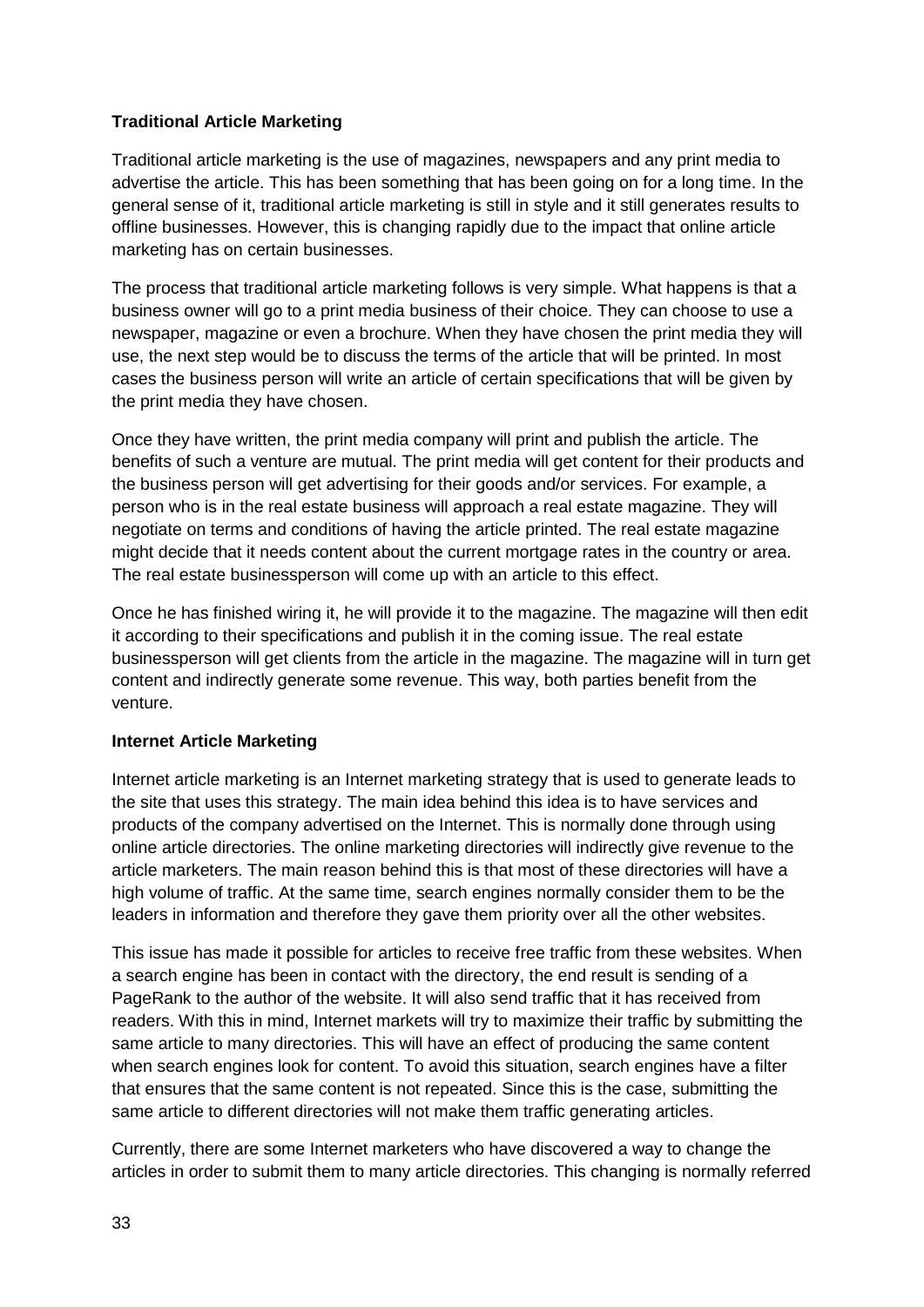#### **Traditional Article Marketing**

Traditional article marketing is the use of magazines, newspapers and any print media to advertise the article. This has been something that has been going on for a long time. In the general sense of it, traditional article marketing is still in style and it still generates results to offline businesses. However, this is changing rapidly due to the impact that online article marketing has on certain businesses.

The process that traditional article marketing follows is very simple. What happens is that a business owner will go to a print media business of their choice. They can choose to use a newspaper, magazine or even a brochure. When they have chosen the print media they will use, the next step would be to discuss the terms of the article that will be printed. In most cases the business person will write an article of certain specifications that will be given by the print media they have chosen.

Once they have written, the print media company will print and publish the article. The benefits of such a venture are mutual. The print media will get content for their products and the business person will get advertising for their goods and/or services. For example, a person who is in the real estate business will approach a real estate magazine. They will negotiate on terms and conditions of having the article printed. The real estate magazine might decide that it needs content about the current mortgage rates in the country or area. The real estate businessperson will come up with an article to this effect.

Once he has finished wiring it, he will provide it to the magazine. The magazine will then edit it according to their specifications and publish it in the coming issue. The real estate businessperson will get clients from the article in the magazine. The magazine will in turn get content and indirectly generate some revenue. This way, both parties benefit from the venture.

#### **Internet Article Marketing**

Internet article marketing is an Internet marketing strategy that is used to generate leads to the site that uses this strategy. The main idea behind this idea is to have services and products of the company advertised on the Internet. This is normally done through using online article directories. The online marketing directories will indirectly give revenue to the article marketers. The main reason behind this is that most of these directories will have a high volume of traffic. At the same time, search engines normally consider them to be the leaders in information and therefore they gave them priority over all the other websites.

This issue has made it possible for articles to receive free traffic from these websites. When a search engine has been in contact with the directory, the end result is sending of a PageRank to the author of the website. It will also send traffic that it has received from readers. With this in mind, Internet markets will try to maximize their traffic by submitting the same article to many directories. This will have an effect of producing the same content when search engines look for content. To avoid this situation, search engines have a filter that ensures that the same content is not repeated. Since this is the case, submitting the same article to different directories will not make them traffic generating articles.

Currently, there are some Internet marketers who have discovered a way to change the articles in order to submit them to many article directories. This changing is normally referred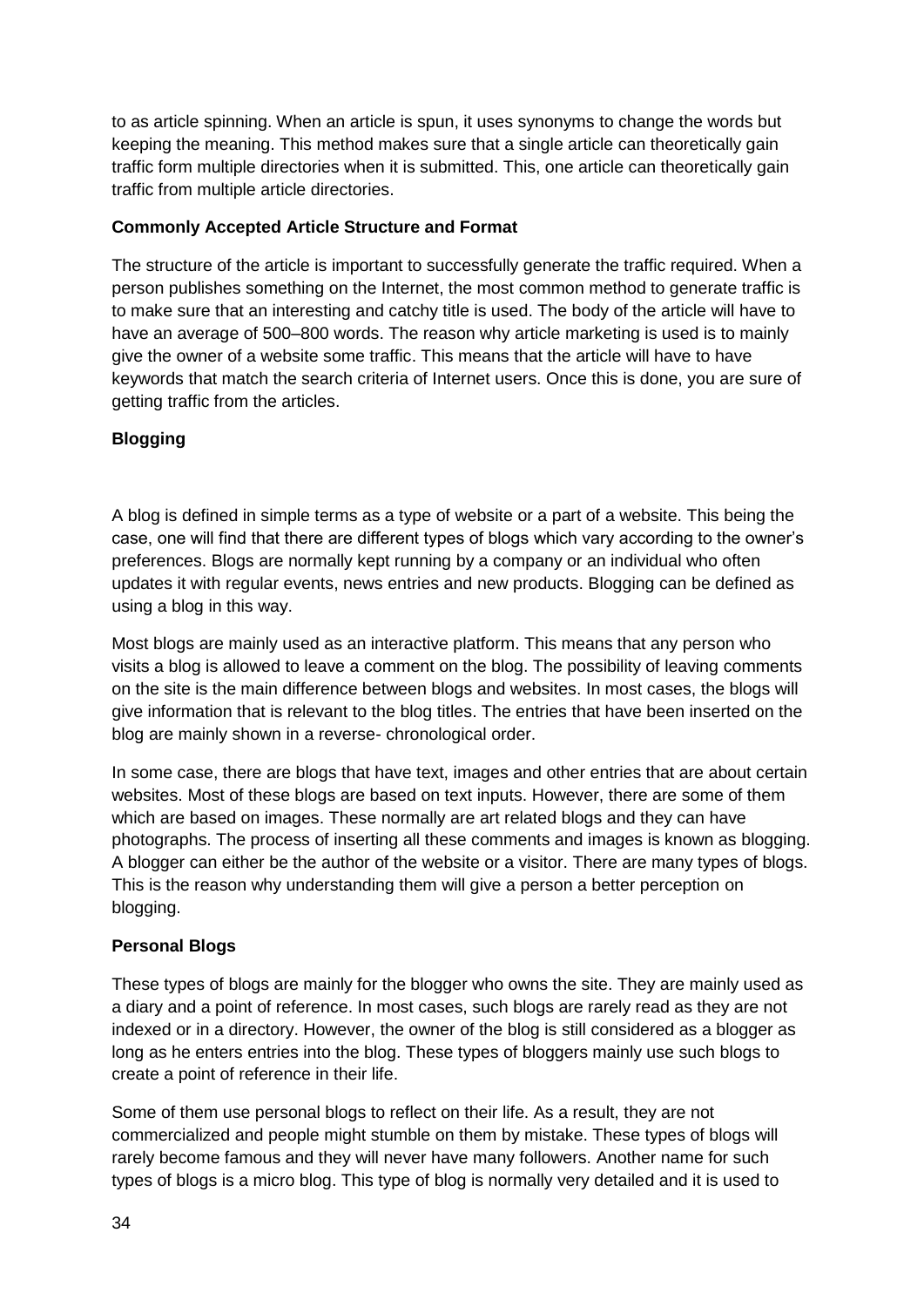to as article spinning. When an article is spun, it uses synonyms to change the words but keeping the meaning. This method makes sure that a single article can theoretically gain traffic form multiple directories when it is submitted. This, one article can theoretically gain traffic from multiple article directories.

#### **Commonly Accepted Article Structure and Format**

The structure of the article is important to successfully generate the traffic required. When a person publishes something on the Internet, the most common method to generate traffic is to make sure that an interesting and catchy title is used. The body of the article will have to have an average of 500–800 words. The reason why article marketing is used is to mainly give the owner of a website some traffic. This means that the article will have to have keywords that match the search criteria of Internet users. Once this is done, you are sure of getting traffic from the articles.

#### **Blogging**

A blog is defined in simple terms as a type of website or a part of a website. This being the case, one will find that there are different types of blogs which vary according to the owner's preferences. Blogs are normally kept running by a company or an individual who often updates it with regular events, news entries and new products. Blogging can be defined as using a blog in this way.

Most blogs are mainly used as an interactive platform. This means that any person who visits a blog is allowed to leave a comment on the blog. The possibility of leaving comments on the site is the main difference between blogs and websites. In most cases, the blogs will give information that is relevant to the blog titles. The entries that have been inserted on the blog are mainly shown in a reverse- chronological order.

In some case, there are blogs that have text, images and other entries that are about certain websites. Most of these blogs are based on text inputs. However, there are some of them which are based on images. These normally are art related blogs and they can have photographs. The process of inserting all these comments and images is known as blogging. A blogger can either be the author of the website or a visitor. There are many types of blogs. This is the reason why understanding them will give a person a better perception on blogging.

#### **Personal Blogs**

These types of blogs are mainly for the blogger who owns the site. They are mainly used as a diary and a point of reference. In most cases, such blogs are rarely read as they are not indexed or in a directory. However, the owner of the blog is still considered as a blogger as long as he enters entries into the blog. These types of bloggers mainly use such blogs to create a point of reference in their life.

Some of them use personal blogs to reflect on their life. As a result, they are not commercialized and people might stumble on them by mistake. These types of blogs will rarely become famous and they will never have many followers. Another name for such types of blogs is a micro blog. This type of blog is normally very detailed and it is used to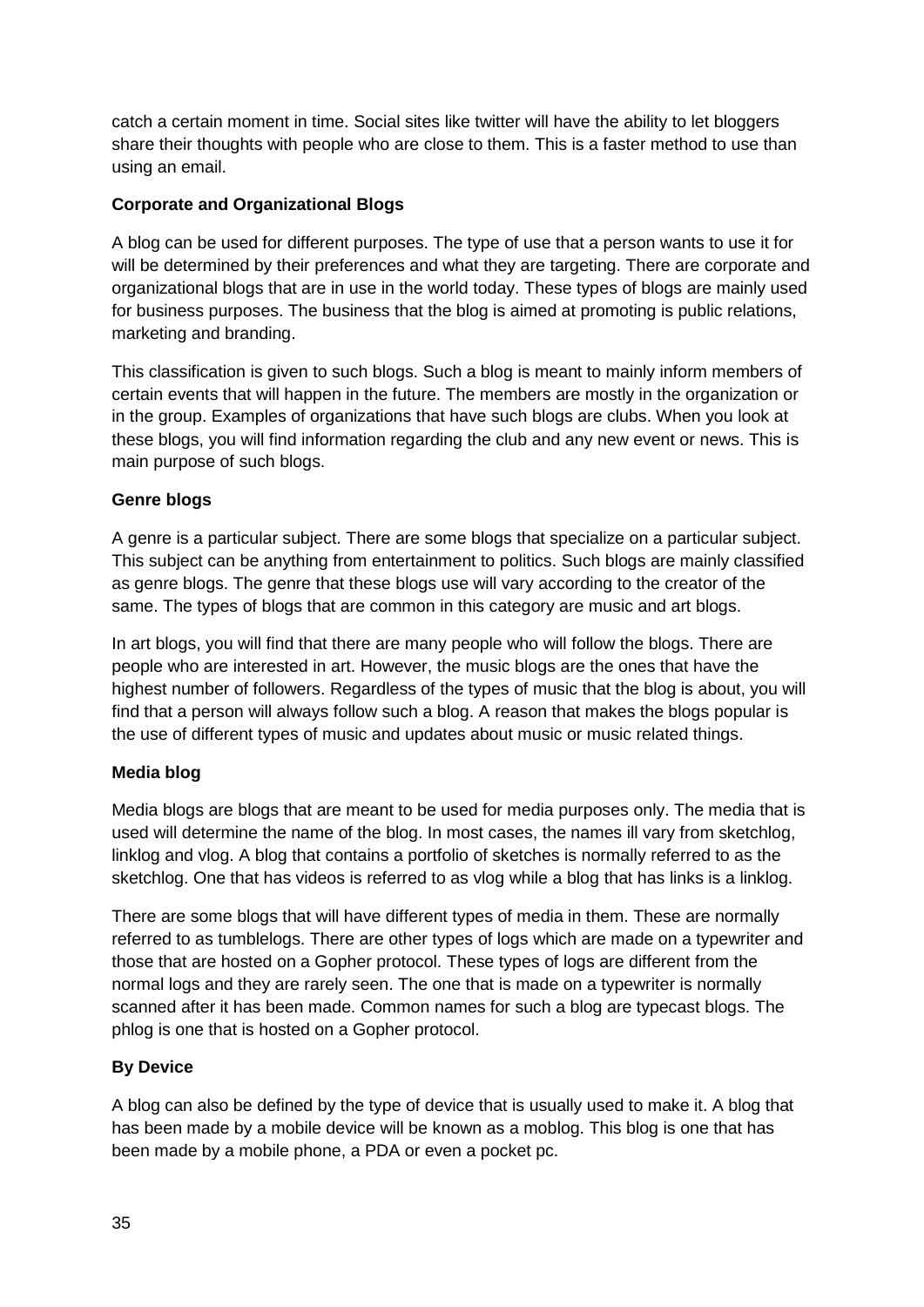catch a certain moment in time. Social sites like twitter will have the ability to let bloggers share their thoughts with people who are close to them. This is a faster method to use than using an email.

#### **Corporate and Organizational Blogs**

A blog can be used for different purposes. The type of use that a person wants to use it for will be determined by their preferences and what they are targeting. There are corporate and organizational blogs that are in use in the world today. These types of blogs are mainly used for business purposes. The business that the blog is aimed at promoting is public relations, marketing and branding.

This classification is given to such blogs. Such a blog is meant to mainly inform members of certain events that will happen in the future. The members are mostly in the organization or in the group. Examples of organizations that have such blogs are clubs. When you look at these blogs, you will find information regarding the club and any new event or news. This is main purpose of such blogs.

#### **Genre blogs**

A genre is a particular subject. There are some blogs that specialize on a particular subject. This subject can be anything from entertainment to politics. Such blogs are mainly classified as genre blogs. The genre that these blogs use will vary according to the creator of the same. The types of blogs that are common in this category are music and art blogs.

In art blogs, you will find that there are many people who will follow the blogs. There are people who are interested in art. However, the music blogs are the ones that have the highest number of followers. Regardless of the types of music that the blog is about, you will find that a person will always follow such a blog. A reason that makes the blogs popular is the use of different types of music and updates about music or music related things.

#### **Media blog**

Media blogs are blogs that are meant to be used for media purposes only. The media that is used will determine the name of the blog. In most cases, the names ill vary from sketchlog, linklog and vlog. A blog that contains a portfolio of sketches is normally referred to as the sketchlog. One that has videos is referred to as vlog while a blog that has links is a linklog.

There are some blogs that will have different types of media in them. These are normally referred to as tumblelogs. There are other types of logs which are made on a typewriter and those that are hosted on a Gopher protocol. These types of logs are different from the normal logs and they are rarely seen. The one that is made on a typewriter is normally scanned after it has been made. Common names for such a blog are typecast blogs. The phlog is one that is hosted on a Gopher protocol.

#### **By Device**

A blog can also be defined by the type of device that is usually used to make it. A blog that has been made by a mobile device will be known as a moblog. This blog is one that has been made by a mobile phone, a PDA or even a pocket pc.